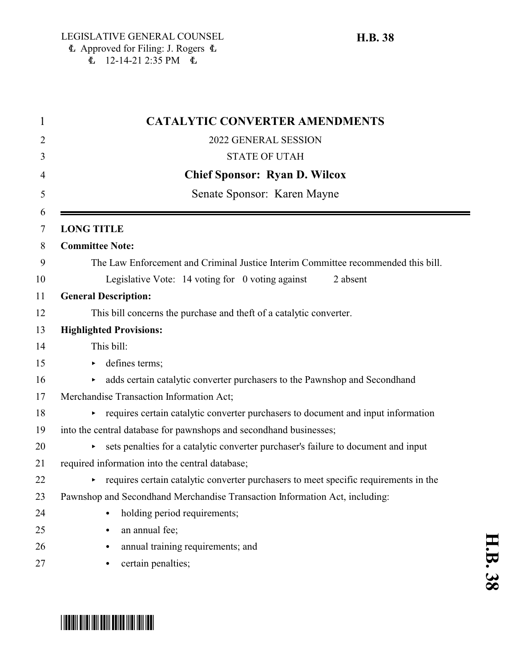| <b>CATALYTIC CONVERTER AMENDMENTS</b>                                                |
|--------------------------------------------------------------------------------------|
| 2022 GENERAL SESSION                                                                 |
| <b>STATE OF UTAH</b>                                                                 |
| <b>Chief Sponsor: Ryan D. Wilcox</b>                                                 |
| Senate Sponsor: Karen Mayne                                                          |
|                                                                                      |
| <b>LONG TITLE</b>                                                                    |
| <b>Committee Note:</b>                                                               |
| The Law Enforcement and Criminal Justice Interim Committee recommended this bill.    |
| Legislative Vote: 14 voting for 0 voting against<br>2 absent                         |
| <b>General Description:</b>                                                          |
| This bill concerns the purchase and theft of a catalytic converter.                  |
| <b>Highlighted Provisions:</b>                                                       |
| This bill:                                                                           |
| defines terms;                                                                       |
| adds certain catalytic converter purchasers to the Pawnshop and Secondhand           |
| Merchandise Transaction Information Act;                                             |
| requires certain catalytic converter purchasers to document and input information    |
| into the central database for pawnshops and secondhand businesses;                   |
| sets penalties for a catalytic converter purchaser's failure to document and input   |
| required information into the central database;                                      |
| requires certain catalytic converter purchasers to meet specific requirements in the |
| Pawnshop and Secondhand Merchandise Transaction Information Act, including:          |
| holding period requirements;<br>$\bullet$                                            |
| an annual fee;                                                                       |
| annual training requirements; and<br>٠                                               |
| certain penalties;<br>٠                                                              |

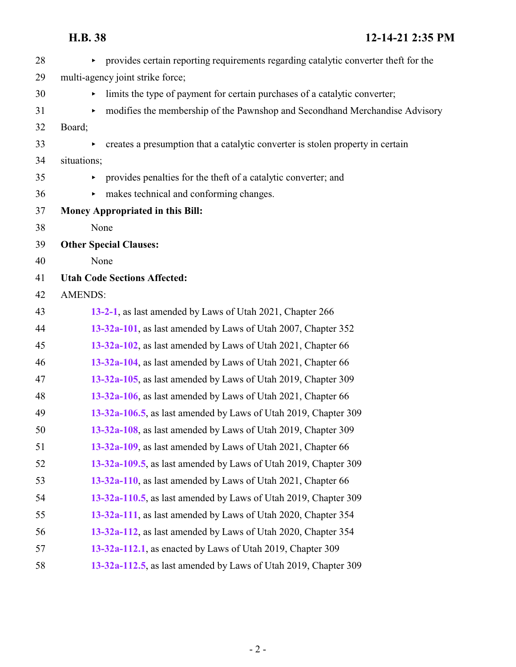| 28 | provides certain reporting requirements regarding catalytic converter theft for the |
|----|-------------------------------------------------------------------------------------|
| 29 | multi-agency joint strike force;                                                    |
| 30 | limits the type of payment for certain purchases of a catalytic converter;          |
| 31 | modifies the membership of the Pawnshop and Secondhand Merchandise Advisory<br>▶    |
| 32 | Board;                                                                              |
| 33 | creates a presumption that a catalytic converter is stolen property in certain      |
| 34 | situations;                                                                         |
| 35 | provides penalties for the theft of a catalytic converter; and                      |
| 36 | makes technical and conforming changes.<br>Þ.                                       |
| 37 | <b>Money Appropriated in this Bill:</b>                                             |
| 38 | None                                                                                |
| 39 | <b>Other Special Clauses:</b>                                                       |
| 40 | None                                                                                |
| 41 | <b>Utah Code Sections Affected:</b>                                                 |
| 42 | <b>AMENDS:</b>                                                                      |
| 43 | 13-2-1, as last amended by Laws of Utah 2021, Chapter 266                           |
| 44 | 13-32a-101, as last amended by Laws of Utah 2007, Chapter 352                       |
| 45 | 13-32a-102, as last amended by Laws of Utah 2021, Chapter 66                        |
| 46 | 13-32a-104, as last amended by Laws of Utah 2021, Chapter 66                        |
| 47 | 13-32a-105, as last amended by Laws of Utah 2019, Chapter 309                       |
| 48 | 13-32a-106, as last amended by Laws of Utah 2021, Chapter 66                        |
| 49 | 13-32a-106.5, as last amended by Laws of Utah 2019, Chapter 309                     |
| 50 | 13-32a-108, as last amended by Laws of Utah 2019, Chapter 309                       |
| 51 | 13-32a-109, as last amended by Laws of Utah 2021, Chapter 66                        |
| 52 | 13-32a-109.5, as last amended by Laws of Utah 2019, Chapter 309                     |
| 53 | 13-32a-110, as last amended by Laws of Utah 2021, Chapter 66                        |
| 54 | 13-32a-110.5, as last amended by Laws of Utah 2019, Chapter 309                     |
| 55 | 13-32a-111, as last amended by Laws of Utah 2020, Chapter 354                       |
| 56 | 13-32a-112, as last amended by Laws of Utah 2020, Chapter 354                       |
| 57 | 13-32a-112.1, as enacted by Laws of Utah 2019, Chapter 309                          |
| 58 | 13-32a-112.5, as last amended by Laws of Utah 2019, Chapter 309                     |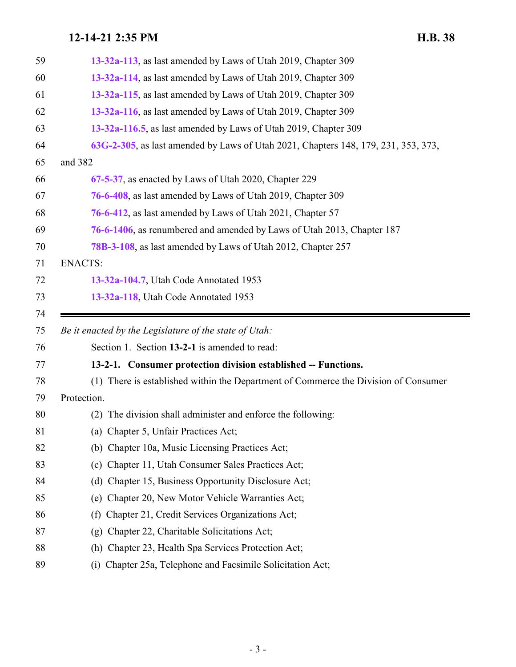<span id="page-2-0"></span>

| 59 | 13-32a-113, as last amended by Laws of Utah 2019, Chapter 309                       |
|----|-------------------------------------------------------------------------------------|
| 60 | 13-32a-114, as last amended by Laws of Utah 2019, Chapter 309                       |
| 61 | 13-32a-115, as last amended by Laws of Utah 2019, Chapter 309                       |
| 62 | 13-32a-116, as last amended by Laws of Utah 2019, Chapter 309                       |
| 63 | 13-32a-116.5, as last amended by Laws of Utah 2019, Chapter 309                     |
| 64 | 63G-2-305, as last amended by Laws of Utah 2021, Chapters 148, 179, 231, 353, 373,  |
| 65 | and 382                                                                             |
| 66 | 67-5-37, as enacted by Laws of Utah 2020, Chapter 229                               |
| 67 | 76-6-408, as last amended by Laws of Utah 2019, Chapter 309                         |
| 68 | 76-6-412, as last amended by Laws of Utah 2021, Chapter 57                          |
| 69 | 76-6-1406, as renumbered and amended by Laws of Utah 2013, Chapter 187              |
| 70 | 78B-3-108, as last amended by Laws of Utah 2012, Chapter 257                        |
| 71 | <b>ENACTS:</b>                                                                      |
| 72 | 13-32a-104.7, Utah Code Annotated 1953                                              |
| 73 | 13-32a-118, Utah Code Annotated 1953                                                |
|    |                                                                                     |
| 74 |                                                                                     |
| 75 | Be it enacted by the Legislature of the state of Utah:                              |
| 76 | Section 1. Section 13-2-1 is amended to read:                                       |
| 77 | 13-2-1. Consumer protection division established -- Functions.                      |
| 78 | (1) There is established within the Department of Commerce the Division of Consumer |
| 79 | Protection.                                                                         |
| 80 | (2) The division shall administer and enforce the following:                        |
| 81 | (a) Chapter 5, Unfair Practices Act;                                                |
| 82 | (b) Chapter 10a, Music Licensing Practices Act;                                     |
| 83 | (c) Chapter 11, Utah Consumer Sales Practices Act;                                  |
| 84 | Chapter 15, Business Opportunity Disclosure Act;<br>(d)                             |
| 85 | (e) Chapter 20, New Motor Vehicle Warranties Act;                                   |
| 86 | Chapter 21, Credit Services Organizations Act;<br>(f)                               |
| 87 | Chapter 22, Charitable Solicitations Act;<br>(g)                                    |
| 88 | Chapter 23, Health Spa Services Protection Act;<br>(h)                              |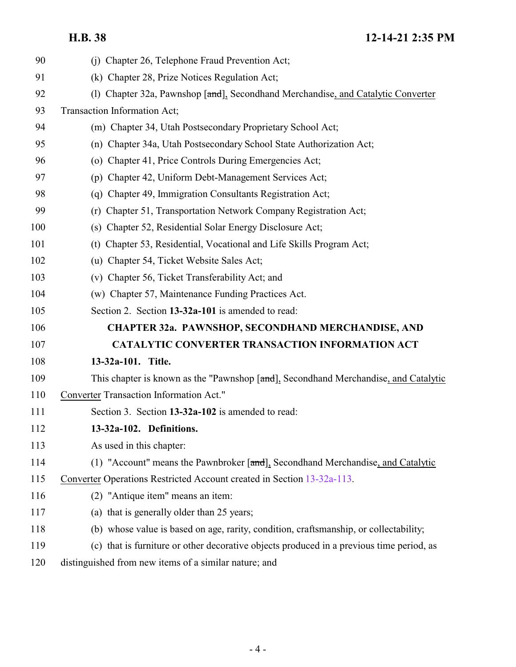<span id="page-3-1"></span><span id="page-3-0"></span>

| 90  | (j) Chapter 26, Telephone Fraud Prevention Act;                                           |
|-----|-------------------------------------------------------------------------------------------|
| 91  | (k) Chapter 28, Prize Notices Regulation Act;                                             |
| 92  | (1) Chapter 32a, Pawnshop [and], Secondhand Merchandise, and Catalytic Converter          |
| 93  | Transaction Information Act;                                                              |
| 94  | (m) Chapter 34, Utah Postsecondary Proprietary School Act;                                |
| 95  | (n) Chapter 34a, Utah Postsecondary School State Authorization Act;                       |
| 96  | (o) Chapter 41, Price Controls During Emergencies Act;                                    |
| 97  | (p) Chapter 42, Uniform Debt-Management Services Act;                                     |
| 98  | (q) Chapter 49, Immigration Consultants Registration Act;                                 |
| 99  | Chapter 51, Transportation Network Company Registration Act;<br>(r)                       |
| 100 | (s) Chapter 52, Residential Solar Energy Disclosure Act;                                  |
| 101 | (t) Chapter 53, Residential, Vocational and Life Skills Program Act;                      |
| 102 | (u) Chapter 54, Ticket Website Sales Act;                                                 |
| 103 | (v) Chapter 56, Ticket Transferability Act; and                                           |
| 104 | (w) Chapter 57, Maintenance Funding Practices Act.                                        |
| 105 | Section 2. Section 13-32a-101 is amended to read:                                         |
| 106 | <b>CHAPTER 32a. PAWNSHOP, SECONDHAND MERCHANDISE, AND</b>                                 |
| 107 | <b>CATALYTIC CONVERTER TRANSACTION INFORMATION ACT</b>                                    |
| 108 | 13-32a-101. Title.                                                                        |
| 109 | This chapter is known as the "Pawnshop [and], Secondhand Merchandise, and Catalytic       |
| 110 | Converter Transaction Information Act."                                                   |
| 111 | Section 3. Section 13-32a-102 is amended to read:                                         |
| 112 | 13-32a-102. Definitions.                                                                  |
| 113 | As used in this chapter:                                                                  |
| 114 | (1) "Account" means the Pawnbroker $[\text{and}]$ , Secondhand Merchandise, and Catalytic |
| 115 | Converter Operations Restricted Account created in Section 13-32a-113.                    |
| 116 | (2) "Antique item" means an item:                                                         |
| 117 | (a) that is generally older than 25 years;                                                |
| 118 | (b) whose value is based on age, rarity, condition, craftsmanship, or collectability;     |
| 119 | (c) that is furniture or other decorative objects produced in a previous time period, as  |
| 120 | distinguished from new items of a similar nature; and                                     |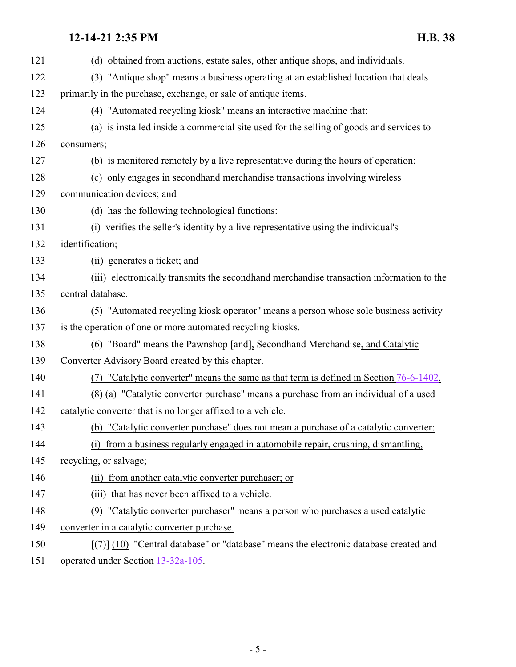| 121 | (d) obtained from auctions, estate sales, other antique shops, and individuals.                    |
|-----|----------------------------------------------------------------------------------------------------|
| 122 | (3) "Antique shop" means a business operating at an established location that deals                |
| 123 | primarily in the purchase, exchange, or sale of antique items.                                     |
| 124 | (4) "Automated recycling kiosk" means an interactive machine that:                                 |
| 125 | (a) is installed inside a commercial site used for the selling of goods and services to            |
| 126 | consumers;                                                                                         |
| 127 | (b) is monitored remotely by a live representative during the hours of operation;                  |
| 128 | (c) only engages in secondhand merchandise transactions involving wireless                         |
| 129 | communication devices; and                                                                         |
| 130 | (d) has the following technological functions:                                                     |
| 131 | (i) verifies the seller's identity by a live representative using the individual's                 |
| 132 | identification;                                                                                    |
| 133 | (ii) generates a ticket; and                                                                       |
| 134 | (iii) electronically transmits the secondhand merchandise transaction information to the           |
| 135 | central database.                                                                                  |
| 136 | (5) "Automated recycling kiosk operator" means a person whose sole business activity               |
| 137 | is the operation of one or more automated recycling kiosks.                                        |
| 138 | (6) "Board" means the Pawnshop [and], Secondhand Merchandise, and Catalytic                        |
| 139 | Converter Advisory Board created by this chapter.                                                  |
| 140 | "Catalytic converter" means the same as that term is defined in Section 76-6-1402.                 |
| 141 | (8) (a) "Catalytic converter purchase" means a purchase from an individual of a used               |
| 142 | catalytic converter that is no longer affixed to a vehicle.                                        |
| 143 | (b) "Catalytic converter purchase" does not mean a purchase of a catalytic converter:              |
| 144 | (i) from a business regularly engaged in automobile repair, crushing, dismantling,                 |
| 145 | recycling, or salvage;                                                                             |
| 146 | (ii) from another catalytic converter purchaser; or                                                |
| 147 | (iii) that has never been affixed to a vehicle.                                                    |
| 148 | (9) "Catalytic converter purchaser" means a person who purchases a used catalytic                  |
| 149 | converter in a catalytic converter purchase.                                                       |
| 150 | $[\overline{(+)}]$ (10) "Central database" or "database" means the electronic database created and |
|     |                                                                                                    |

operated under Section [13-32a-105](#page-14-0).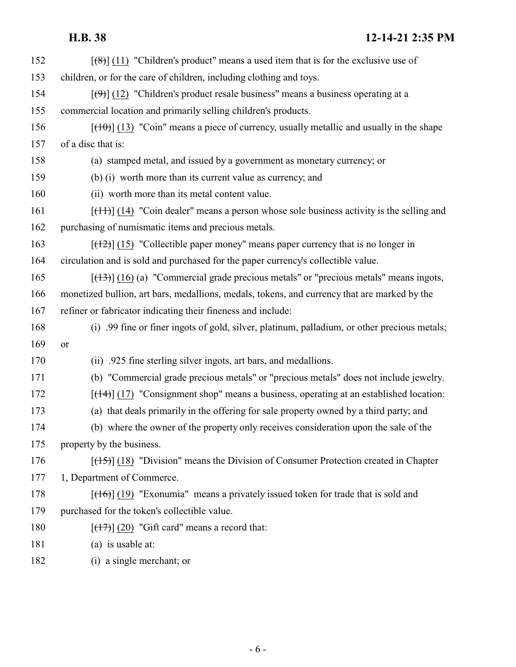| 152 | $\left[\frac{1}{2}\left(11\right)\right]$ "Children's product" means a used item that is for the exclusive use of |
|-----|-------------------------------------------------------------------------------------------------------------------|
| 153 | children, or for the care of children, including clothing and toys.                                               |
| 154 | $[\langle 0\rangle]$ (12) "Children's product resale business" means a business operating at a                    |
| 155 | commercial location and primarily selling children's products.                                                    |
| 156 | $[\frac{(10)}{(13)}]$ "Coin" means a piece of currency, usually metallic and usually in the shape                 |
| 157 | of a disc that is:                                                                                                |
| 158 | (a) stamped metal, and issued by a government as monetary currency; or                                            |
| 159 | (b) (i) worth more than its current value as currency, and                                                        |
| 160 | (ii) worth more than its metal content value.                                                                     |
| 161 | $[\frac{(11)}{(14)}]$ (14) "Coin dealer" means a person whose sole business activity is the selling and           |
| 162 | purchasing of numismatic items and precious metals.                                                               |
| 163 | $[ (12) ]$ (15) "Collectible paper money" means paper currency that is no longer in                               |
| 164 | circulation and is sold and purchased for the paper currency's collectible value.                                 |
| 165 | $[ (13) ]$ (16) (a) "Commercial grade precious metals" or "precious metals" means ingots,                         |
| 166 | monetized bullion, art bars, medallions, medals, tokens, and currency that are marked by the                      |
| 167 | refiner or fabricator indicating their fineness and include:                                                      |
| 168 | (i) .99 fine or finer ingots of gold, silver, platinum, palladium, or other precious metals;                      |
| 169 | or                                                                                                                |
| 170 | (ii) .925 fine sterling silver ingots, art bars, and medallions.                                                  |
| 171 | (b) "Commercial grade precious metals" or "precious metals" does not include jewelry.                             |
| 172 | $[ (14) ]$ (17) "Consignment shop" means a business, operating at an established location:                        |
| 173 | (a) that deals primarily in the offering for sale property owned by a third party; and                            |
| 174 | (b) where the owner of the property only receives consideration upon the sale of the                              |
| 175 | property by the business.                                                                                         |
| 176 | $[\frac{(15)}{(18)}]$ (18) "Division" means the Division of Consumer Protection created in Chapter                |
| 177 | 1, Department of Commerce.                                                                                        |
| 178 | $[ (16) ]$ (19) "Exonumia" means a privately issued token for trade that is sold and                              |
| 179 | purchased for the token's collectible value.                                                                      |
| 180 | $[ (17) ] (20)$ "Gift card" means a record that:                                                                  |
| 181 | (a) is usable at:                                                                                                 |
| 182 | (i) a single merchant; or                                                                                         |

- 6 -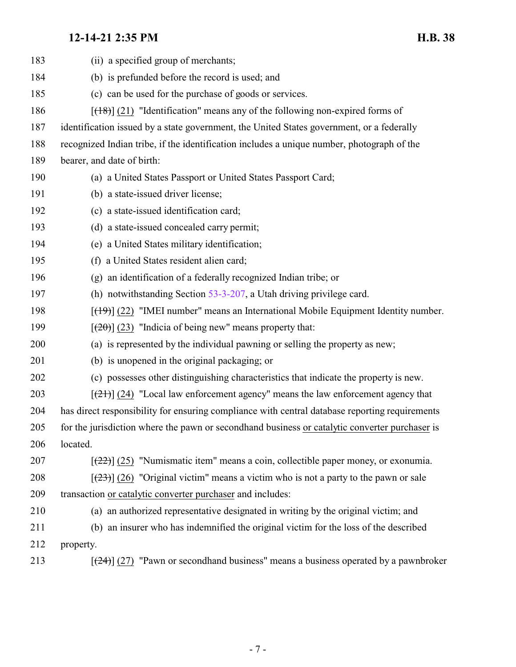| 183 | (ii) a specified group of merchants;                                                               |
|-----|----------------------------------------------------------------------------------------------------|
| 184 | (b) is prefunded before the record is used; and                                                    |
| 185 | (c) can be used for the purchase of goods or services.                                             |
| 186 | $[ (18) ]$ (21) "Identification" means any of the following non-expired forms of                   |
| 187 | identification issued by a state government, the United States government, or a federally          |
| 188 | recognized Indian tribe, if the identification includes a unique number, photograph of the         |
| 189 | bearer, and date of birth:                                                                         |
| 190 | (a) a United States Passport or United States Passport Card;                                       |
| 191 | (b) a state-issued driver license;                                                                 |
| 192 | (c) a state-issued identification card;                                                            |
| 193 | (d) a state-issued concealed carry permit;                                                         |
| 194 | (e) a United States military identification;                                                       |
| 195 | (f) a United States resident alien card;                                                           |
| 196 | (g) an identification of a federally recognized Indian tribe; or                                   |
| 197 | (h) notwithstanding Section $53-3-207$ , a Utah driving privilege card.                            |
| 198 | $[$ (49)] (22) "IMEI number" means an International Mobile Equipment Identity number.              |
| 199 | $[\frac{1}{20}]$ (23) "Indicia of being new" means property that:                                  |
| 200 | (a) is represented by the individual pawning or selling the property as new;                       |
| 201 | (b) is unopened in the original packaging; or                                                      |
| 202 | (c) possesses other distinguishing characteristics that indicate the property is new.              |
| 203 | $[\frac{(21)}{(24)}]$ (24) "Local law enforcement agency" means the law enforcement agency that    |
| 204 | has direct responsibility for ensuring compliance with central database reporting requirements     |
| 205 | for the jurisdiction where the pawn or second hand business or catalytic converter purchaser is    |
| 206 | located.                                                                                           |
| 207 | $[222]$ (25) "Numismatic item" means a coin, collectible paper money, or exonumia.                 |
| 208 | $[\frac{(23)}{(26)}]$ (26) "Original victim" means a victim who is not a party to the pawn or sale |
| 209 | transaction or catalytic converter purchaser and includes:                                         |
| 210 | (a) an authorized representative designated in writing by the original victim; and                 |
| 211 | (b) an insurer who has indemnified the original victim for the loss of the described               |
| 212 | property.                                                                                          |
| 213 | $[\frac{24}{2}]$ (27) "Pawn or secondhand business" means a business operated by a pawnbroker      |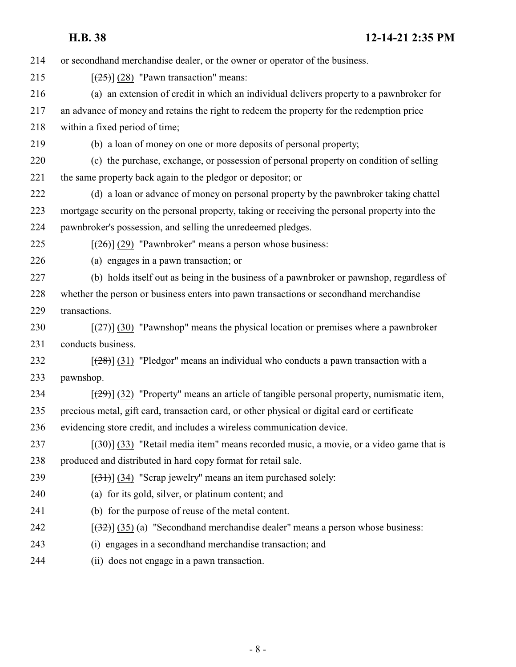| 214 | or second hand merchandise dealer, or the owner or operator of the business.                   |
|-----|------------------------------------------------------------------------------------------------|
| 215 | $[\frac{25}{25}]$ (28) "Pawn transaction" means:                                               |
| 216 | (a) an extension of credit in which an individual delivers property to a pawnbroker for        |
| 217 | an advance of money and retains the right to redeem the property for the redemption price      |
| 218 | within a fixed period of time;                                                                 |
| 219 | (b) a loan of money on one or more deposits of personal property;                              |
| 220 | (c) the purchase, exchange, or possession of personal property on condition of selling         |
| 221 | the same property back again to the pledgor or depositor; or                                   |
| 222 | (d) a loan or advance of money on personal property by the pawnbroker taking chattel           |
| 223 | mortgage security on the personal property, taking or receiving the personal property into the |
| 224 | pawnbroker's possession, and selling the unredeemed pledges.                                   |
| 225 | $[\frac{(26)}{(29)}]$ "Pawnbroker" means a person whose business:                              |
| 226 | (a) engages in a pawn transaction; or                                                          |
| 227 | (b) holds itself out as being in the business of a pawnbroker or pawnshop, regardless of       |
| 228 | whether the person or business enters into pawn transactions or secondhand merchandise         |
| 229 | transactions.                                                                                  |
| 230 | $[\frac{27}{27}]$ (30) "Pawnshop" means the physical location or premises where a pawnbroker   |
| 231 | conducts business.                                                                             |
| 232 | $[\frac{(28)}{(31)}]$ "Pledgor" means an individual who conducts a pawn transaction with a     |
| 233 | pawnshop.                                                                                      |
| 234 | $[29]$ (32) "Property" means an article of tangible personal property, numismatic item,        |
| 235 | precious metal, gift card, transaction card, or other physical or digital card or certificate  |
| 236 | evidencing store credit, and includes a wireless communication device.                         |
| 237 | $[30]$ (33) "Retail media item" means recorded music, a movie, or a video game that is         |
| 238 | produced and distributed in hard copy format for retail sale.                                  |
| 239 | $[ (34)$ (34) "Scrap jewelry" means an item purchased solely:                                  |
| 240 | (a) for its gold, silver, or platinum content; and                                             |
| 241 | (b) for the purpose of reuse of the metal content.                                             |
| 242 | $[322]$ (35) (a) "Secondhand merchandise dealer" means a person whose business:                |
| 243 | (i) engages in a secondhand merchandise transaction; and                                       |
| 244 | (ii) does not engage in a pawn transaction.                                                    |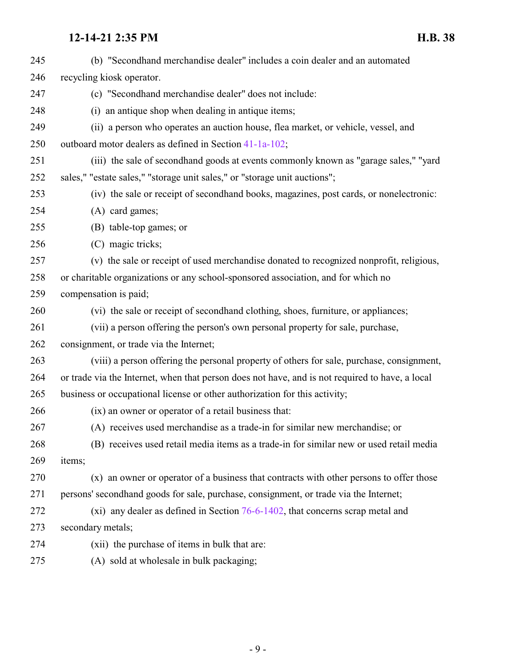| 245 | (b) "Secondhand merchandise dealer" includes a coin dealer and an automated                     |
|-----|-------------------------------------------------------------------------------------------------|
| 246 | recycling kiosk operator.                                                                       |
| 247 | (c) "Secondhand merchandise dealer" does not include:                                           |
| 248 | (i) an antique shop when dealing in antique items;                                              |
| 249 | (ii) a person who operates an auction house, flea market, or vehicle, vessel, and               |
| 250 | outboard motor dealers as defined in Section 41-1a-102;                                         |
| 251 | (iii) the sale of secondhand goods at events commonly known as "garage sales," "yard            |
| 252 | sales," "estate sales," "storage unit sales," or "storage unit auctions";                       |
| 253 | (iv) the sale or receipt of secondhand books, magazines, post cards, or nonelectronic:          |
| 254 | (A) card games;                                                                                 |
| 255 | (B) table-top games; or                                                                         |
| 256 | (C) magic tricks;                                                                               |
| 257 | (v) the sale or receipt of used merchandise donated to recognized nonprofit, religious,         |
| 258 | or charitable organizations or any school-sponsored association, and for which no               |
| 259 | compensation is paid;                                                                           |
| 260 | (vi) the sale or receipt of secondhand clothing, shoes, furniture, or appliances;               |
| 261 | (vii) a person offering the person's own personal property for sale, purchase,                  |
| 262 | consignment, or trade via the Internet;                                                         |
| 263 | (viii) a person offering the personal property of others for sale, purchase, consignment,       |
| 264 | or trade via the Internet, when that person does not have, and is not required to have, a local |
| 265 | business or occupational license or other authorization for this activity;                      |
| 266 | (ix) an owner or operator of a retail business that:                                            |
| 267 | (A) receives used merchandise as a trade-in for similar new merchandise; or                     |
| 268 | (B) receives used retail media items as a trade-in for similar new or used retail media         |
| 269 | items;                                                                                          |
| 270 | (x) an owner or operator of a business that contracts with other persons to offer those         |
| 271 | persons' secondhand goods for sale, purchase, consignment, or trade via the Internet;           |
| 272 | (xi) any dealer as defined in Section $76-6-1402$ , that concerns scrap metal and               |
| 273 | secondary metals;                                                                               |
| 274 | (xii) the purchase of items in bulk that are:                                                   |
| 275 | (A) sold at wholesale in bulk packaging;                                                        |
|     |                                                                                                 |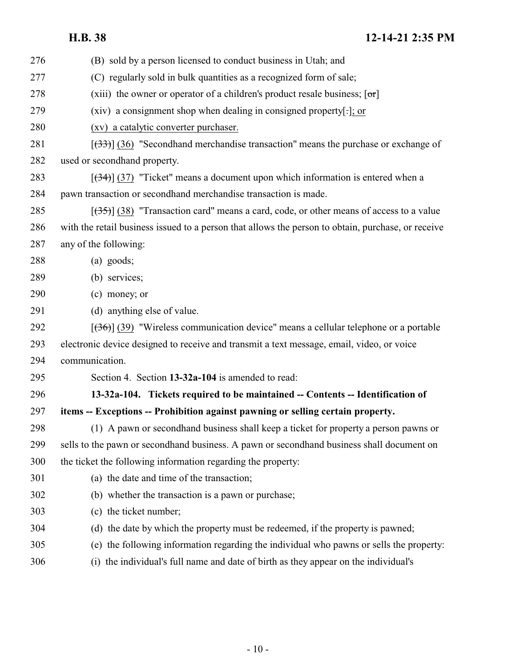<span id="page-9-0"></span>

| 276 | (B) sold by a person licensed to conduct business in Utah; and                                     |
|-----|----------------------------------------------------------------------------------------------------|
| 277 | (C) regularly sold in bulk quantities as a recognized form of sale;                                |
| 278 | (xiii) the owner or operator of a children's product resale business; $[\sigma r]$                 |
| 279 | (xiv) a consignment shop when dealing in consigned property[.]; or                                 |
| 280 | (xv) a catalytic converter purchaser.                                                              |
| 281 | $[333]$ (36) "Secondhand merchandise transaction" means the purchase or exchange of                |
| 282 | used or secondhand property.                                                                       |
| 283 | $[\frac{(34)}{(37)}]$ "Ticket" means a document upon which information is entered when a           |
| 284 | pawn transaction or secondhand merchandise transaction is made.                                    |
| 285 | $[35]$ (38) "Transaction card" means a card, code, or other means of access to a value             |
| 286 | with the retail business issued to a person that allows the person to obtain, purchase, or receive |
| 287 | any of the following:                                                                              |
| 288 | $(a)$ goods;                                                                                       |
| 289 | (b) services;                                                                                      |
| 290 | (c) money; or                                                                                      |
| 291 | (d) anything else of value.                                                                        |
| 292 | $[36]$ (39) "Wireless communication device" means a cellular telephone or a portable               |
| 293 | electronic device designed to receive and transmit a text message, email, video, or voice          |
| 294 | communication.                                                                                     |
| 295 | Section 4. Section 13-32a-104 is amended to read:                                                  |
| 296 | 13-32a-104. Tickets required to be maintained -- Contents -- Identification of                     |
| 297 | items -- Exceptions -- Prohibition against pawning or selling certain property.                    |
| 298 | (1) A pawn or secondhand business shall keep a ticket for property a person pawns or               |
| 299 | sells to the pawn or secondhand business. A pawn or secondhand business shall document on          |
| 300 | the ticket the following information regarding the property:                                       |
| 301 | (a) the date and time of the transaction;                                                          |
| 302 | (b) whether the transaction is a pawn or purchase;                                                 |
| 303 | (c) the ticket number;                                                                             |
| 304 | (d) the date by which the property must be redeemed, if the property is pawned;                    |
| 305 | (e) the following information regarding the individual who pawns or sells the property:            |
| 306 | (i) the individual's full name and date of birth as they appear on the individual's                |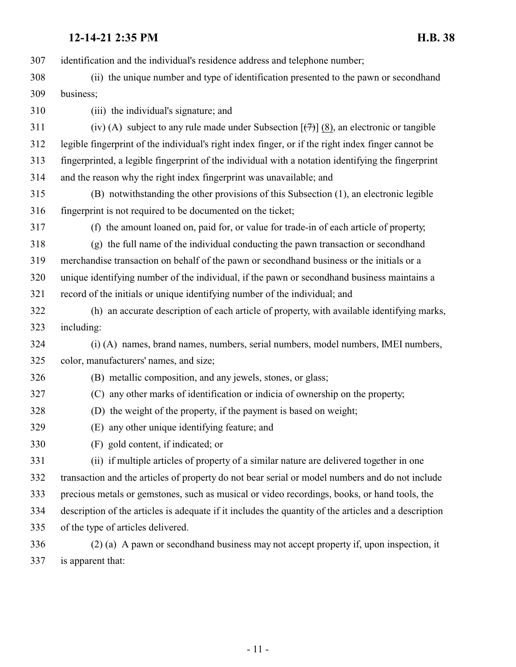identification and the individual's residence address and telephone number; (ii) the unique number and type of identification presented to the pawn or secondhand business; (iii) the individual's signature; and 311 (iv) (A) subject to any rule made under Subsection  $[\frac{(7)}{(8)}]$ , an electronic or tangible legible fingerprint of the individual's right index finger, or if the right index finger cannot be fingerprinted, a legible fingerprint of the individual with a notation identifying the fingerprint and the reason why the right index fingerprint was unavailable; and (B) notwithstanding the other provisions of this Subsection (1), an electronic legible fingerprint is not required to be documented on the ticket; (f) the amount loaned on, paid for, or value for trade-in of each article of property; (g) the full name of the individual conducting the pawn transaction or secondhand merchandise transaction on behalf of the pawn or secondhand business or the initials or a unique identifying number of the individual, if the pawn or secondhand business maintains a record of the initials or unique identifying number of the individual; and (h) an accurate description of each article of property, with available identifying marks, including: (i) (A) names, brand names, numbers, serial numbers, model numbers, IMEI numbers, color, manufacturers' names, and size; (B) metallic composition, and any jewels, stones, or glass; (C) any other marks of identification or indicia of ownership on the property; (D) the weight of the property, if the payment is based on weight; (E) any other unique identifying feature; and (F) gold content, if indicated; or (ii) if multiple articles of property of a similar nature are delivered together in one transaction and the articles of property do not bear serial or model numbers and do not include precious metals or gemstones, such as musical or video recordings, books, or hand tools, the description of the articles is adequate if it includes the quantity of the articles and a description of the type of articles delivered. (2) (a) A pawn or secondhand business may not accept property if, upon inspection, it

is apparent that: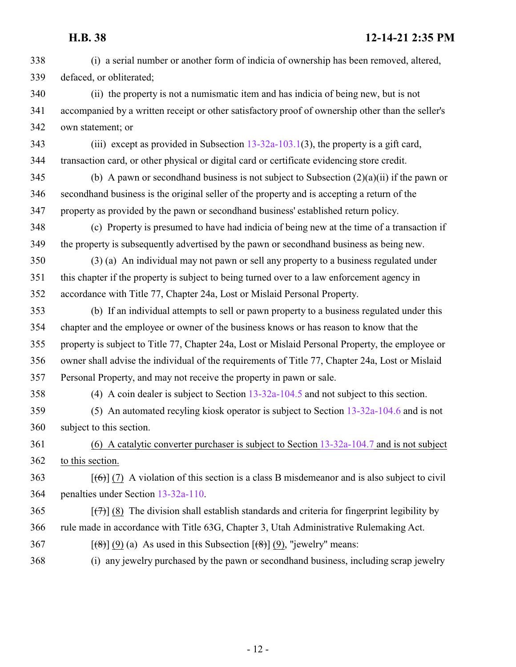(i) a serial number or another form of indicia of ownership has been removed, altered, defaced, or obliterated; (ii) the property is not a numismatic item and has indicia of being new, but is not accompanied by a written receipt or other satisfactory proof of ownership other than the seller's own statement; or (iii) except as provided in Subsection [13-32a-103.1](http://le.utah.gov/UtahCode/SectionLookup.jsp?section=13-32a-103.1&session=2022GS)(3), the property is a gift card, transaction card, or other physical or digital card or certificate evidencing store credit. 345 (b) A pawn or secondhand business is not subject to Subsection  $(2)(a)(ii)$  if the pawn or secondhand business is the original seller of the property and is accepting a return of the property as provided by the pawn or secondhand business' established return policy. (c) Property is presumed to have had indicia of being new at the time of a transaction if the property is subsequently advertised by the pawn or secondhand business as being new. (3) (a) An individual may not pawn or sell any property to a business regulated under this chapter if the property is subject to being turned over to a law enforcement agency in accordance with Title 77, Chapter 24a, Lost or Mislaid Personal Property. (b) If an individual attempts to sell or pawn property to a business regulated under this chapter and the employee or owner of the business knows or has reason to know that the property is subject to Title 77, Chapter 24a, Lost or Mislaid Personal Property, the employee or owner shall advise the individual of the requirements of Title 77, Chapter 24a, Lost or Mislaid Personal Property, and may not receive the property in pawn or sale. (4) A coin dealer is subject to Section [13-32a-104.5](http://le.utah.gov/UtahCode/SectionLookup.jsp?section=13-32a-104.5&session=2022GS) and not subject to this section. (5) An automated recyling kiosk operator is subject to Section [13-32a-104.6](http://le.utah.gov/UtahCode/SectionLookup.jsp?section=13-32a-104.6&session=2022GS) and is not subject to this section. (6) A catalytic converter purchaser is subject to Section [13-32a-104.7](#page-12-0) and is not subject to this section. [(6)] (7) A violation of this section is a class B misdemeanor and is also subject to civil penalties under Section [13-32a-110](#page-23-0). [(7)] (8) The division shall establish standards and criteria for fingerprint legibility by rule made in accordance with Title 63G, Chapter 3, Utah Administrative Rulemaking Act. 367 [ $(\theta)$ ] (9) (a) As used in this Subsection  $(\theta)$ ] (9), "jewelry" means: (i) any jewelry purchased by the pawn or secondhand business, including scrap jewelry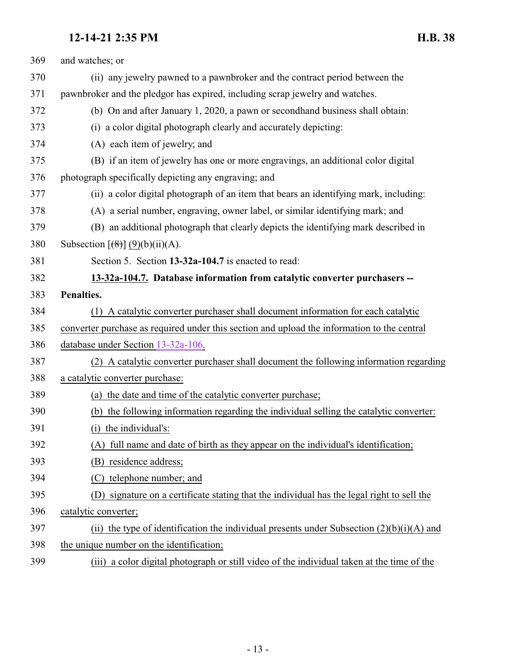<span id="page-12-0"></span>

| 369 | and watches; or                                                                               |
|-----|-----------------------------------------------------------------------------------------------|
| 370 | (ii) any jewelry pawned to a pawnbroker and the contract period between the                   |
| 371 | pawnbroker and the pledgor has expired, including scrap jewelry and watches.                  |
| 372 | (b) On and after January 1, 2020, a pawn or second hand business shall obtain:                |
| 373 | (i) a color digital photograph clearly and accurately depicting:                              |
| 374 | (A) each item of jewelry; and                                                                 |
| 375 | (B) if an item of jewelry has one or more engravings, an additional color digital             |
| 376 | photograph specifically depicting any engraving; and                                          |
| 377 | (ii) a color digital photograph of an item that bears an identifying mark, including:         |
| 378 | (A) a serial number, engraving, owner label, or similar identifying mark; and                 |
| 379 | (B) an additional photograph that clearly depicts the identifying mark described in           |
| 380 | Subsection $[$ (8)] $(9)(b)(ii)(A)$ .                                                         |
| 381 | Section 5. Section 13-32a-104.7 is enacted to read:                                           |
| 382 | 13-32a-104.7. Database information from catalytic converter purchasers --                     |
| 383 | Penalties.                                                                                    |
| 384 | (1) A catalytic converter purchaser shall document information for each catalytic             |
| 385 | converter purchase as required under this section and upload the information to the central   |
| 386 | database under Section 13-32a-106.                                                            |
| 387 | (2) A catalytic converter purchaser shall document the following information regarding        |
| 388 | a catalytic converter purchase:                                                               |
| 389 | (a) the date and time of the catalytic converter purchase;                                    |
| 390 | (b) the following information regarding the individual selling the catalytic converter:       |
| 391 | (i) the individual's:                                                                         |
| 392 | full name and date of birth as they appear on the individual's identification;<br>(A)         |
| 393 | (B) residence address;                                                                        |
| 394 | (C) telephone number; and                                                                     |
| 395 | signature on a certificate stating that the individual has the legal right to sell the<br>(D) |
| 396 | catalytic converter;                                                                          |
| 397 | (ii) the type of identification the individual presents under Subsection $(2)(b)(i)(A)$ and   |
| 398 | the unique number on the identification;                                                      |
|     |                                                                                               |

(iii) a color digital photograph or still video of the individual taken at the time of the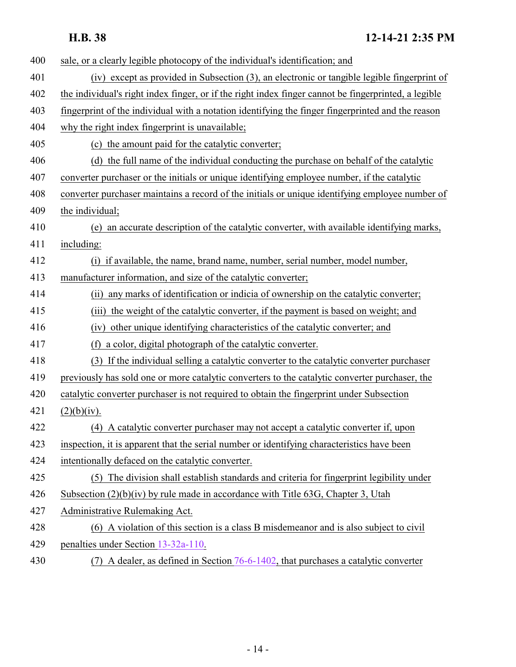| 400 | sale, or a clearly legible photocopy of the individual's identification; and                         |
|-----|------------------------------------------------------------------------------------------------------|
| 401 | (iv) except as provided in Subsection (3), an electronic or tangible legible fingerprint of          |
| 402 | the individual's right index finger, or if the right index finger cannot be fingerprinted, a legible |
| 403 | fingerprint of the individual with a notation identifying the finger fingerprinted and the reason    |
| 404 | why the right index fingerprint is unavailable;                                                      |
| 405 | (c) the amount paid for the catalytic converter;                                                     |
| 406 | (d) the full name of the individual conducting the purchase on behalf of the catalytic               |
| 407 | converter purchaser or the initials or unique identifying employee number, if the catalytic          |
| 408 | converter purchaser maintains a record of the initials or unique identifying employee number of      |
| 409 | the individual;                                                                                      |
| 410 | an accurate description of the catalytic converter, with available identifying marks,<br>(e)         |
| 411 | including:                                                                                           |
| 412 | (i) if available, the name, brand name, number, serial number, model number,                         |
| 413 | manufacturer information, and size of the catalytic converter;                                       |
| 414 | any marks of identification or indicia of ownership on the catalytic converter;<br>(ii)              |
| 415 | the weight of the catalytic converter, if the payment is based on weight; and<br>(iii)               |
| 416 | other unique identifying characteristics of the catalytic converter; and<br>(iv)                     |
| 417 | a color, digital photograph of the catalytic converter.<br>(f)                                       |
| 418 | (3) If the individual selling a catalytic converter to the catalytic converter purchaser             |
| 419 | previously has sold one or more catalytic converters to the catalytic converter purchaser, the       |
| 420 | catalytic converter purchaser is not required to obtain the fingerprint under Subsection             |
| 421 | (2)(b)(iv).                                                                                          |
| 422 | (4) A catalytic converter purchaser may not accept a catalytic converter if, upon                    |
| 423 | inspection, it is apparent that the serial number or identifying characteristics have been           |
| 424 | intentionally defaced on the catalytic converter.                                                    |
| 425 | (5) The division shall establish standards and criteria for fingerprint legibility under             |
| 426 | Subsection $(2)(b)(iv)$ by rule made in accordance with Title 63G, Chapter 3, Utah                   |
| 427 | Administrative Rulemaking Act.                                                                       |
| 428 | (6) A violation of this section is a class B misdemeanor and is also subject to civil                |
| 429 | penalties under Section 13-32a-110.                                                                  |
|     |                                                                                                      |

(7) A dealer, as defined in Section [76-6-1402](http://le.utah.gov/UtahCode/SectionLookup.jsp?section=76-6-1402&session=2022GS), that purchases a catalytic converter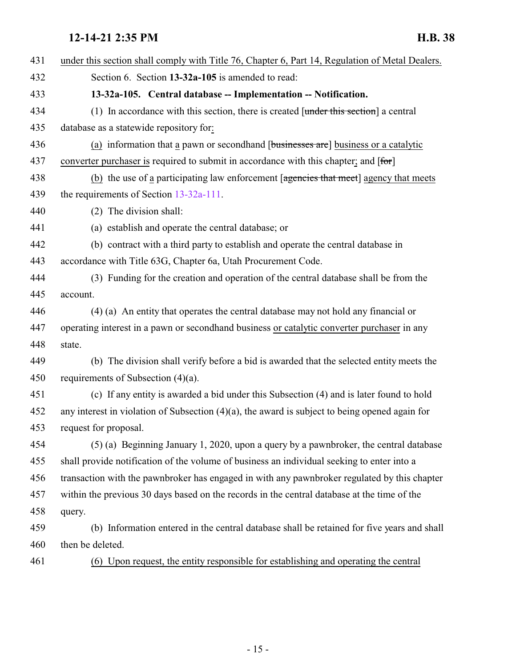<span id="page-14-0"></span>

| 431 | under this section shall comply with Title 76, Chapter 6, Part 14, Regulation of Metal Dealers.   |
|-----|---------------------------------------------------------------------------------------------------|
| 432 | Section 6. Section 13-32a-105 is amended to read:                                                 |
| 433 | 13-32a-105. Central database -- Implementation -- Notification.                                   |
| 434 | (1) In accordance with this section, there is created $[$ under this section a central            |
| 435 | database as a statewide repository for:                                                           |
| 436 | (a) information that a pawn or second hand [businesses are] business or a catalytic               |
| 437 | converter purchaser is required to submit in accordance with this chapter; and [for]              |
| 438 | (b) the use of a participating law enforcement [agencies that meet] agency that meets             |
| 439 | the requirements of Section $13-32a-111$ .                                                        |
| 440 | (2) The division shall:                                                                           |
| 441 | (a) establish and operate the central database; or                                                |
| 442 | (b) contract with a third party to establish and operate the central database in                  |
| 443 | accordance with Title 63G, Chapter 6a, Utah Procurement Code.                                     |
| 444 | (3) Funding for the creation and operation of the central database shall be from the              |
| 445 | account.                                                                                          |
| 446 | (4) (a) An entity that operates the central database may not hold any financial or                |
| 447 | operating interest in a pawn or second hand business or catalytic converter purchaser in any      |
| 448 | state.                                                                                            |
| 449 | (b) The division shall verify before a bid is awarded that the selected entity meets the          |
| 450 | requirements of Subsection $(4)(a)$ .                                                             |
| 451 | (c) If any entity is awarded a bid under this Subsection (4) and is later found to hold           |
| 452 | any interest in violation of Subsection $(4)(a)$ , the award is subject to being opened again for |
| 453 | request for proposal.                                                                             |
| 454 | (5) (a) Beginning January 1, 2020, upon a query by a pawnbroker, the central database             |
| 455 | shall provide notification of the volume of business an individual seeking to enter into a        |
| 456 | transaction with the pawnbroker has engaged in with any pawnbroker regulated by this chapter      |
| 457 | within the previous 30 days based on the records in the central database at the time of the       |
| 458 | query.                                                                                            |
| 459 | (b) Information entered in the central database shall be retained for five years and shall        |
| 460 | then be deleted.                                                                                  |
| 461 | (6) Upon request, the entity responsible for establishing and operating the central               |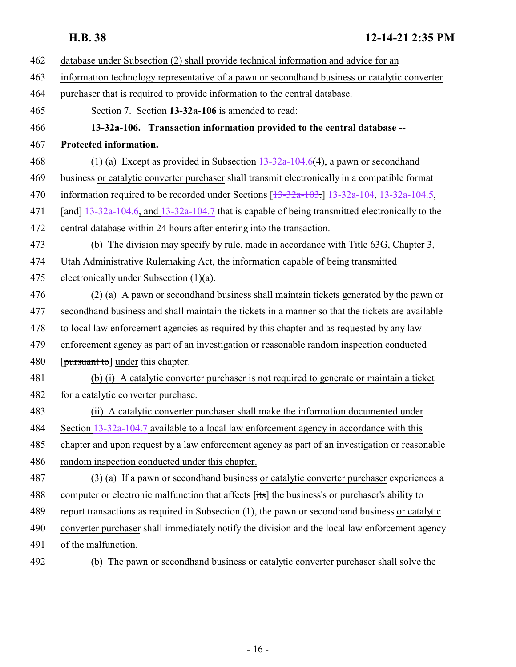- <span id="page-15-0"></span> database under Subsection (2) shall provide technical information and advice for an information technology representative of a pawn or secondhand business or catalytic converter purchaser that is required to provide information to the central database. Section 7. Section **13-32a-106** is amended to read: **13-32a-106. Transaction information provided to the central database -- Protected information.** (1) (a) Except as provided in Subsection [13-32a-104.6](http://le.utah.gov/UtahCode/SectionLookup.jsp?section=13-32a-104.6&session=2022GS)(4), a pawn or secondhand business or catalytic converter purchaser shall transmit electronically in a compatible format 470 information required to be recorded under Sections [\[13-32a-103](http://le.utah.gov/UtahCode/SectionLookup.jsp?section=13-32a-103&session=2022GS),] [13-32a-104](#page-9-0), [13-32a-104.5](http://le.utah.gov/UtahCode/SectionLookup.jsp?section=13-32a-104.5&session=2022GS), [and] [13-32a-104.6](http://le.utah.gov/UtahCode/SectionLookup.jsp?section=13-32a-104.6&session=2022GS), and [13-32a-104.7](#page-12-0) that is capable of being transmitted electronically to the central database within 24 hours after entering into the transaction. (b) The division may specify by rule, made in accordance with Title 63G, Chapter 3, Utah Administrative Rulemaking Act, the information capable of being transmitted electronically under Subsection (1)(a). (2) (a) A pawn or secondhand business shall maintain tickets generated by the pawn or secondhand business and shall maintain the tickets in a manner so that the tickets are available to local law enforcement agencies as required by this chapter and as requested by any law enforcement agency as part of an investigation or reasonable random inspection conducted 480 [pursuant to] under this chapter. (b) (i) A catalytic converter purchaser is not required to generate or maintain a ticket 482 for a catalytic converter purchase. (ii) A catalytic converter purchaser shall make the information documented under Section [13-32a-104.7](#page-12-0) available to a local law enforcement agency in accordance with this chapter and upon request by a law enforcement agency as part of an investigation or reasonable random inspection conducted under this chapter. (3) (a) If a pawn or secondhand business or catalytic converter purchaser experiences a computer or electronic malfunction that affects [its] the business's or purchaser's ability to report transactions as required in Subsection (1), the pawn or secondhand business or catalytic converter purchaser shall immediately notify the division and the local law enforcement agency of the malfunction.
- 

(b) The pawn or secondhand business or catalytic converter purchaser shall solve the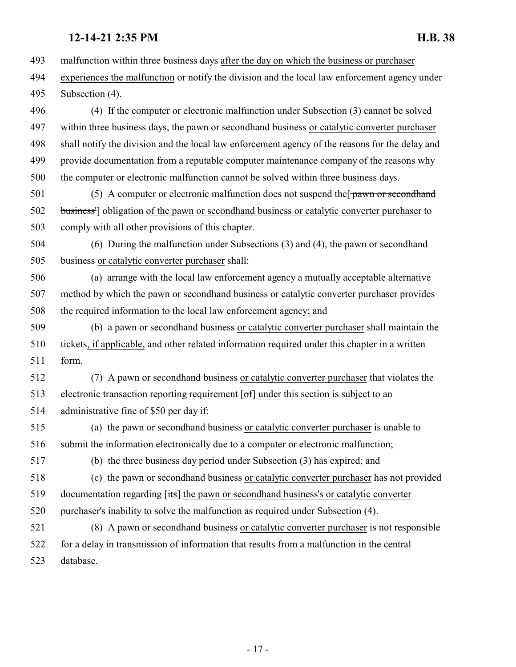malfunction within three business days after the day on which the business or purchaser experiences the malfunction or notify the division and the local law enforcement agency under Subsection (4).

 (4) If the computer or electronic malfunction under Subsection (3) cannot be solved within three business days, the pawn or secondhand business or catalytic converter purchaser shall notify the division and the local law enforcement agency of the reasons for the delay and provide documentation from a reputable computer maintenance company of the reasons why the computer or electronic malfunction cannot be solved within three business days.

501 (5) A computer or electronic malfunction does not suspend the pawn or second hand 502 business<sup>1</sup> obligation of the pawn or secondhand business or catalytic converter purchaser to comply with all other provisions of this chapter.

 (6) During the malfunction under Subsections (3) and (4), the pawn or secondhand business or catalytic converter purchaser shall:

 (a) arrange with the local law enforcement agency a mutually acceptable alternative method by which the pawn or secondhand business or catalytic converter purchaser provides the required information to the local law enforcement agency; and

 (b) a pawn or secondhand business or catalytic converter purchaser shall maintain the tickets, if applicable, and other related information required under this chapter in a written form.

 (7) A pawn or secondhand business or catalytic converter purchaser that violates the electronic transaction reporting requirement [of] under this section is subject to an administrative fine of \$50 per day if:

 (a) the pawn or secondhand business or catalytic converter purchaser is unable to submit the information electronically due to a computer or electronic malfunction;

(b) the three business day period under Subsection (3) has expired; and

 (c) the pawn or secondhand business or catalytic converter purchaser has not provided documentation regarding [its] the pawn or secondhand business's or catalytic converter purchaser's inability to solve the malfunction as required under Subsection (4).

 (8) A pawn or secondhand business or catalytic converter purchaser is not responsible for a delay in transmission of information that results from a malfunction in the central database.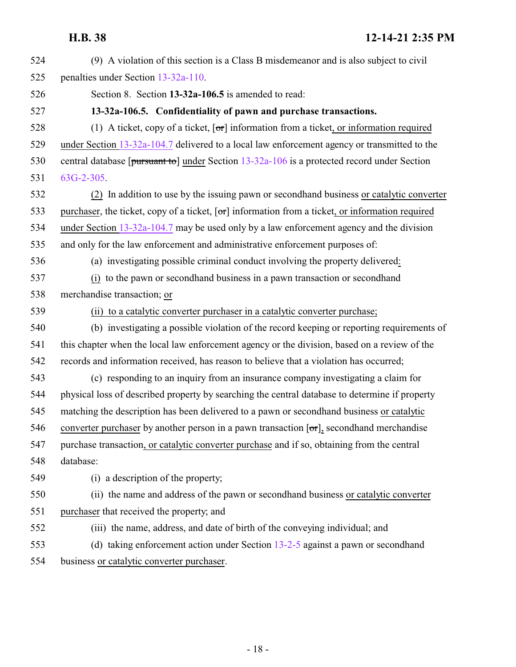<span id="page-17-0"></span>

| 524 | (9) A violation of this section is a Class B misdemeanor and is also subject to civil                                 |
|-----|-----------------------------------------------------------------------------------------------------------------------|
| 525 | penalties under Section 13-32a-110.                                                                                   |
| 526 | Section 8. Section 13-32a-106.5 is amended to read:                                                                   |
| 527 | 13-32a-106.5. Confidentiality of pawn and purchase transactions.                                                      |
| 528 | (1) A ticket, copy of a ticket, $\lceil \sigma r \rceil$ information from a ticket, or information required           |
| 529 | under Section 13-32a-104.7 delivered to a local law enforcement agency or transmitted to the                          |
| 530 | central database [pursuant to] under Section 13-32a-106 is a protected record under Section                           |
| 531 | $63G-2-305$ .                                                                                                         |
| 532 | (2) In addition to use by the issuing pawn or second hand business or catalytic converter                             |
| 533 | purchaser, the ticket, copy of a ticket, $\lceil \text{or} \rceil$ information from a ticket, or information required |
| 534 | under Section 13-32a-104.7 may be used only by a law enforcement agency and the division                              |
| 535 | and only for the law enforcement and administrative enforcement purposes of:                                          |
| 536 | (a) investigating possible criminal conduct involving the property delivered:                                         |
| 537 | (i) to the pawn or secondhand business in a pawn transaction or secondhand                                            |
| 538 | merchandise transaction; or                                                                                           |
| 539 | (ii) to a catalytic converter purchaser in a catalytic converter purchase;                                            |
| 540 | (b) investigating a possible violation of the record keeping or reporting requirements of                             |
| 541 | this chapter when the local law enforcement agency or the division, based on a review of the                          |
| 542 | records and information received, has reason to believe that a violation has occurred;                                |
| 543 | (c) responding to an inquiry from an insurance company investigating a claim for                                      |
| 544 | physical loss of described property by searching the central database to determine if property                        |
| 545 | matching the description has been delivered to a pawn or second hand business or catalytic                            |
| 546 | converter purchaser by another person in a pawn transaction $[\sigma r]$ , secondhand merchandise                     |
| 547 | purchase transaction, or catalytic converter purchase and if so, obtaining from the central                           |
| 548 | database:                                                                                                             |
| 549 | (i) a description of the property;                                                                                    |
| 550 | (ii) the name and address of the pawn or secondhand business or catalytic converter                                   |
| 551 | purchaser that received the property; and                                                                             |
| 552 | (iii) the name, address, and date of birth of the conveying individual; and                                           |
| 553 | (d) taking enforcement action under Section $13-2-5$ against a pawn or second hand                                    |
| 554 | business or catalytic converter purchaser.                                                                            |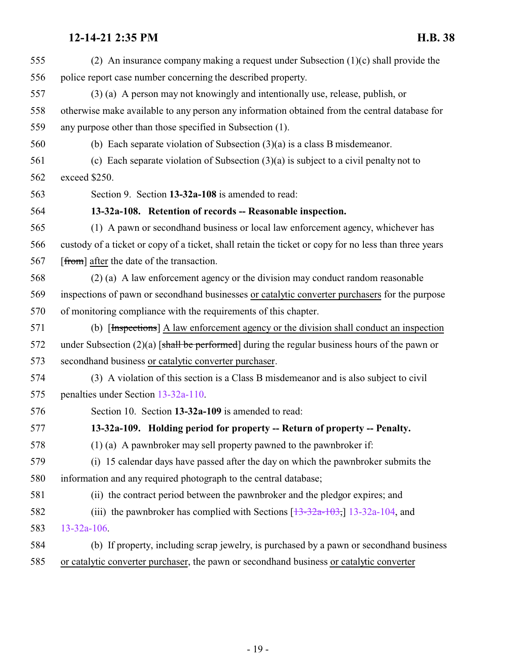<span id="page-18-1"></span><span id="page-18-0"></span>

| 555 | (2) An insurance company making a request under Subsection $(1)(c)$ shall provide the                 |
|-----|-------------------------------------------------------------------------------------------------------|
| 556 | police report case number concerning the described property.                                          |
| 557 | (3) (a) A person may not knowingly and intentionally use, release, publish, or                        |
| 558 | otherwise make available to any person any information obtained from the central database for         |
| 559 | any purpose other than those specified in Subsection (1).                                             |
| 560 | (b) Each separate violation of Subsection $(3)(a)$ is a class B misdemeanor.                          |
| 561 | (c) Each separate violation of Subsection $(3)(a)$ is subject to a civil penalty not to               |
| 562 | exceed \$250.                                                                                         |
| 563 | Section 9. Section 13-32a-108 is amended to read:                                                     |
| 564 | 13-32a-108. Retention of records -- Reasonable inspection.                                            |
| 565 | (1) A pawn or second hand business or local law enforcement agency, whichever has                     |
| 566 | custody of a ticket or copy of a ticket, shall retain the ticket or copy for no less than three years |
| 567 | [from] after the date of the transaction.                                                             |
| 568 | (2) (a) A law enforcement agency or the division may conduct random reasonable                        |
| 569 | inspections of pawn or secondhand businesses or catalytic converter purchasers for the purpose        |
| 570 | of monitoring compliance with the requirements of this chapter.                                       |
| 571 | (b) [Inspections] A law enforcement agency or the division shall conduct an inspection                |
| 572 | under Subsection $(2)(a)$ [shall be performed] during the regular business hours of the pawn or       |
| 573 | secondhand business or catalytic converter purchaser.                                                 |
| 574 | (3) A violation of this section is a Class B misdemeanor and is also subject to civil                 |
| 575 | penalties under Section 13-32a-110.                                                                   |
| 576 | Section 10. Section 13-32a-109 is amended to read:                                                    |
| 577 | 13-32a-109. Holding period for property -- Return of property -- Penalty.                             |
| 578 | $(1)$ (a) A pawnbroker may sell property pawned to the pawnbroker if:                                 |
| 579 | (i) 15 calendar days have passed after the day on which the pawnbroker submits the                    |
| 580 | information and any required photograph to the central database;                                      |
| 581 | (ii) the contract period between the pawnbroker and the pledgor expires; and                          |
| 582 | (iii) the pawnbroker has complied with Sections $\left[\frac{13-32a-103}{13-32a-104}\right]$ , and    |
| 583 | $13 - 32a - 106$ .                                                                                    |
| 584 | (b) If property, including scrap jewelry, is purchased by a pawn or second hand business              |
| 585 | or catalytic converter purchaser, the pawn or secondhand business or catalytic converter              |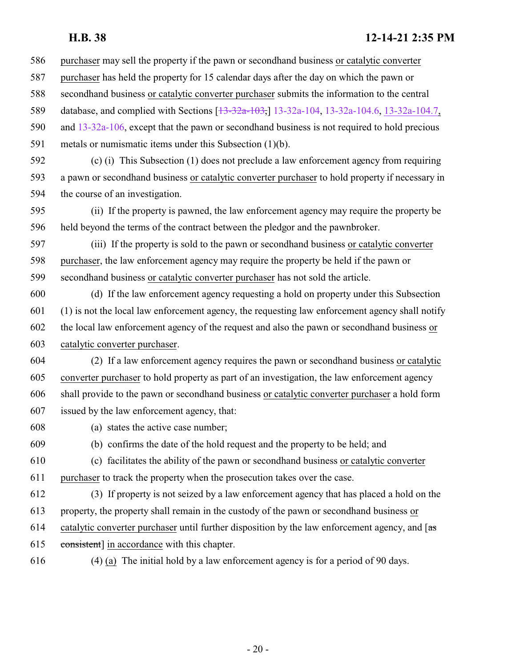purchaser may sell the property if the pawn or secondhand business or catalytic converter

- purchaser has held the property for 15 calendar days after the day on which the pawn or
- secondhand business or catalytic converter purchaser submits the information to the central

589 database, and complied with Sections [\[13-32a-103](http://le.utah.gov/UtahCode/SectionLookup.jsp?section=13-32a-103&session=2022GS),] [13-32a-104](#page-9-0), [13-32a-104.6](http://le.utah.gov/UtahCode/SectionLookup.jsp?section=13-32a-104.6&session=2022GS), [13-32a-104.7](#page-12-0),

- and [13-32a-106](#page-15-0), except that the pawn or secondhand business is not required to hold precious
- metals or numismatic items under this Subsection (1)(b).
- (c) (i) This Subsection (1) does not preclude a law enforcement agency from requiring a pawn or secondhand business or catalytic converter purchaser to hold property if necessary in the course of an investigation.
- (ii) If the property is pawned, the law enforcement agency may require the property be held beyond the terms of the contract between the pledgor and the pawnbroker.
- (iii) If the property is sold to the pawn or secondhand business or catalytic converter purchaser, the law enforcement agency may require the property be held if the pawn or secondhand business or catalytic converter purchaser has not sold the article.
- (d) If the law enforcement agency requesting a hold on property under this Subsection (1) is not the local law enforcement agency, the requesting law enforcement agency shall notify the local law enforcement agency of the request and also the pawn or secondhand business or catalytic converter purchaser.
- (2) If a law enforcement agency requires the pawn or secondhand business or catalytic converter purchaser to hold property as part of an investigation, the law enforcement agency shall provide to the pawn or secondhand business or catalytic converter purchaser a hold form issued by the law enforcement agency, that:
- (a) states the active case number;

(b) confirms the date of the hold request and the property to be held; and

- (c) facilitates the ability of the pawn or secondhand business or catalytic converter purchaser to track the property when the prosecution takes over the case.
- (3) If property is not seized by a law enforcement agency that has placed a hold on the property, the property shall remain in the custody of the pawn or secondhand business or
- 614 catalytic converter purchaser until further disposition by the law enforcement agency, and  $\sqrt{a}$
- consistent] in accordance with this chapter.
- (4) (a) The initial hold by a law enforcement agency is for a period of 90 days.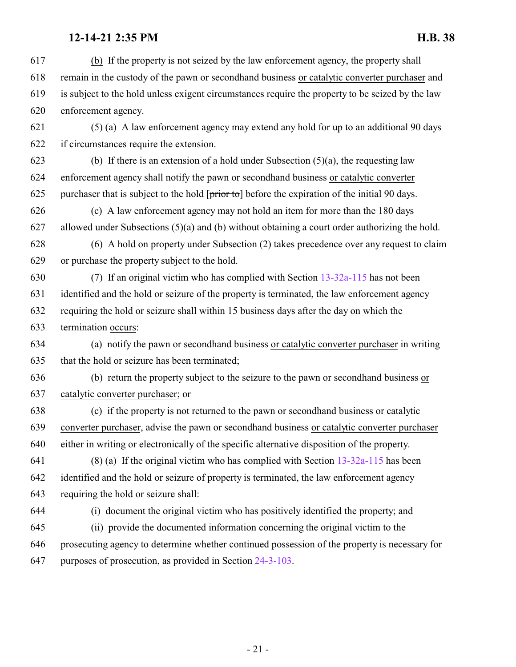(b) If the property is not seized by the law enforcement agency, the property shall remain in the custody of the pawn or secondhand business or catalytic converter purchaser and is subject to the hold unless exigent circumstances require the property to be seized by the law enforcement agency.

 (5) (a) A law enforcement agency may extend any hold for up to an additional 90 days if circumstances require the extension.

623 (b) If there is an extension of a hold under Subsection  $(5)(a)$ , the requesting law enforcement agency shall notify the pawn or secondhand business or catalytic converter 625 purchaser that is subject to the hold  $[\text{prior to}]$  before the expiration of the initial 90 days.

 (c) A law enforcement agency may not hold an item for more than the 180 days allowed under Subsections (5)(a) and (b) without obtaining a court order authorizing the hold.

 (6) A hold on property under Subsection (2) takes precedence over any request to claim or purchase the property subject to the hold.

 (7) If an original victim who has complied with Section [13-32a-115](#page-28-0) has not been identified and the hold or seizure of the property is terminated, the law enforcement agency requiring the hold or seizure shall within 15 business days after the day on which the termination occurs:

 (a) notify the pawn or secondhand business or catalytic converter purchaser in writing that the hold or seizure has been terminated;

 (b) return the property subject to the seizure to the pawn or secondhand business or catalytic converter purchaser; or

 (c) if the property is not returned to the pawn or secondhand business or catalytic converter purchaser, advise the pawn or secondhand business or catalytic converter purchaser either in writing or electronically of the specific alternative disposition of the property.

641 (8) (a) If the original victim who has complied with Section  $13-32a-115$  has been identified and the hold or seizure of property is terminated, the law enforcement agency requiring the hold or seizure shall:

(i) document the original victim who has positively identified the property; and

 (ii) provide the documented information concerning the original victim to the prosecuting agency to determine whether continued possession of the property is necessary for purposes of prosecution, as provided in Section [24-3-103](http://le.utah.gov/UtahCode/SectionLookup.jsp?section=24-3-103&session=2022GS).

- 21 -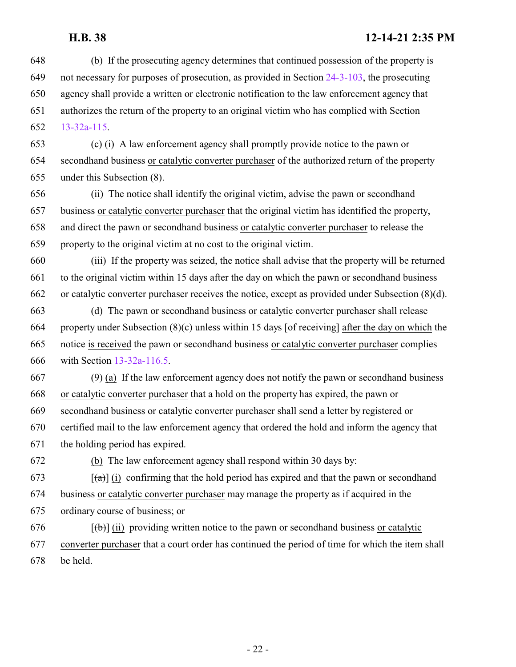(b) If the prosecuting agency determines that continued possession of the property is not necessary for purposes of prosecution, as provided in Section [24-3-103](http://le.utah.gov/UtahCode/SectionLookup.jsp?section=24-3-103&session=2022GS), the prosecuting agency shall provide a written or electronic notification to the law enforcement agency that authorizes the return of the property to an original victim who has complied with Section [13-32a-115](#page-28-0). (c) (i) A law enforcement agency shall promptly provide notice to the pawn or secondhand business or catalytic converter purchaser of the authorized return of the property under this Subsection (8). (ii) The notice shall identify the original victim, advise the pawn or secondhand business or catalytic converter purchaser that the original victim has identified the property, and direct the pawn or secondhand business or catalytic converter purchaser to release the property to the original victim at no cost to the original victim. (iii) If the property was seized, the notice shall advise that the property will be returned to the original victim within 15 days after the day on which the pawn or secondhand business or catalytic converter purchaser receives the notice, except as provided under Subsection (8)(d). (d) The pawn or secondhand business or catalytic converter purchaser shall release 664 property under Subsection  $(8)(c)$  unless within 15 days [of receiving] after the day on which the notice is received the pawn or secondhand business or catalytic converter purchaser complies with Section [13-32a-116.5](#page-29-1). (9) (a) If the law enforcement agency does not notify the pawn or secondhand business or catalytic converter purchaser that a hold on the property has expired, the pawn or secondhand business or catalytic converter purchaser shall send a letter by registered or certified mail to the law enforcement agency that ordered the hold and inform the agency that the holding period has expired. (b) The law enforcement agency shall respond within 30 days by:  $[4\pi]$  (i) confirming that the hold period has expired and that the pawn or secondhand business or catalytic converter purchaser may manage the property as if acquired in the ordinary course of business; or  $[(\theta)]$  (ii) providing written notice to the pawn or secondhand business or catalytic converter purchaser that a court order has continued the period of time for which the item shall be held.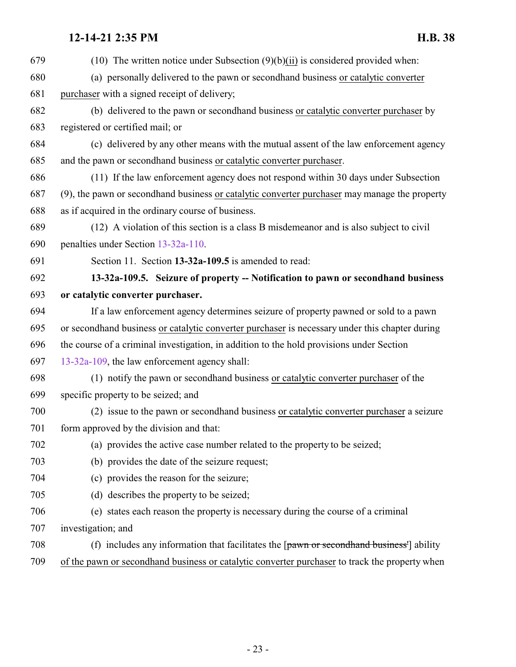<span id="page-22-0"></span> (10) The written notice under Subsection (9)(b)(ii) is considered provided when: (a) personally delivered to the pawn or secondhand business or catalytic converter purchaser with a signed receipt of delivery; (b) delivered to the pawn or secondhand business or catalytic converter purchaser by registered or certified mail; or (c) delivered by any other means with the mutual assent of the law enforcement agency and the pawn or secondhand business or catalytic converter purchaser. (11) If the law enforcement agency does not respond within 30 days under Subsection (9), the pawn or secondhand business or catalytic converter purchaser may manage the property as if acquired in the ordinary course of business. (12) A violation of this section is a class B misdemeanor and is also subject to civil penalties under Section [13-32a-110](#page-23-0). Section 11. Section **13-32a-109.5** is amended to read: **13-32a-109.5. Seizure of property -- Notification to pawn or secondhand business or catalytic converter purchaser.** If a law enforcement agency determines seizure of property pawned or sold to a pawn or secondhand business or catalytic converter purchaser is necessary under this chapter during the course of a criminal investigation, in addition to the hold provisions under Section [13-32a-109](#page-18-1), the law enforcement agency shall: (1) notify the pawn or secondhand business or catalytic converter purchaser of the specific property to be seized; and (2) issue to the pawn or secondhand business or catalytic converter purchaser a seizure form approved by the division and that: (a) provides the active case number related to the property to be seized; (b) provides the date of the seizure request; (c) provides the reason for the seizure; (d) describes the property to be seized; (e) states each reason the property is necessary during the course of a criminal investigation; and (f) includes any information that facilitates the [pawn or secondhand business'] ability of the pawn or secondhand business or catalytic converter purchaser to track the property when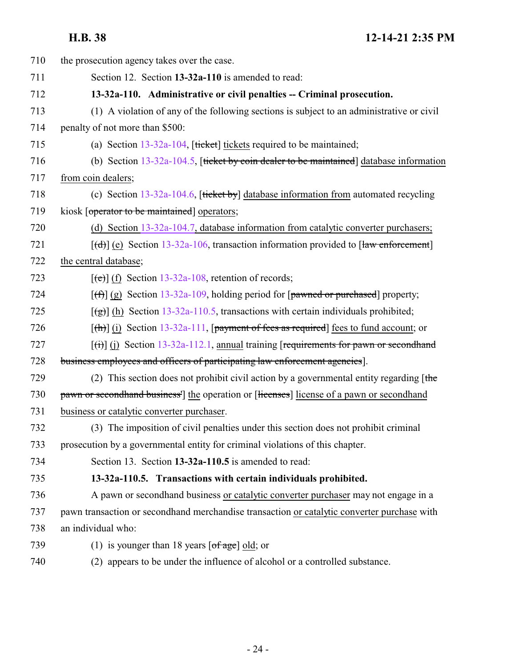<span id="page-23-1"></span><span id="page-23-0"></span>

| 710 | the prosecution agency takes over the case.                                                                |
|-----|------------------------------------------------------------------------------------------------------------|
| 711 | Section 12. Section 13-32a-110 is amended to read:                                                         |
| 712 | 13-32a-110. Administrative or civil penalties -- Criminal prosecution.                                     |
| 713 | (1) A violation of any of the following sections is subject to an administrative or civil                  |
| 714 | penalty of not more than \$500:                                                                            |
| 715 | (a) Section $13-32a-104$ , [ticket] tickets required to be maintained;                                     |
| 716 | (b) Section $13-32a-104.5$ , [ticket by coin dealer to be maintained] database information                 |
| 717 | from coin dealers;                                                                                         |
| 718 | (c) Section $13-32a-104.6$ , [ticket by] database information from automated recycling                     |
| 719 | kiosk [operator to be maintained] operators;                                                               |
| 720 | (d) Section 13-32a-104.7, database information from catalytic converter purchasers;                        |
| 721 | $[\text{td}]$ (e) Section 13-32a-106, transaction information provided to [law enforcement]                |
| 722 | the central database;                                                                                      |
| 723 | $[\text{e}(\text{e})]$ (f) Section 13-32a-108, retention of records;                                       |
| 724 | $[\text{f} \hat{\theta}]$ (g) Section 13-32a-109, holding period for [pawned or purchased] property;       |
| 725 | $\left[\frac{1}{2}\right]$ (h) Section 13-32a-110.5, transactions with certain individuals prohibited;     |
| 726 | $[\text{th}]$ (i) Section 13-32a-111, [payment of fees as required] fees to fund account; or               |
| 727 | $\left[\frac{1}{1}\right]$ (j) Section 13-32a-112.1, annual training [requirements for pawn or second hand |
| 728 | business employees and officers of participating law enforcement agencies.                                 |
| 729 | (2) This section does not prohibit civil action by a governmental entity regarding $[the]$                 |
| 730 | pawn or second hand business <sup>1</sup> the operation or [licenses] license of a pawn or second hand     |
| 731 | business or catalytic converter purchaser.                                                                 |
| 732 | (3) The imposition of civil penalties under this section does not prohibit criminal                        |
| 733 | prosecution by a governmental entity for criminal violations of this chapter.                              |
| 734 | Section 13. Section 13-32a-110.5 is amended to read:                                                       |
| 735 | 13-32a-110.5. Transactions with certain individuals prohibited.                                            |
| 736 | A pawn or secondhand business or catalytic converter purchaser may not engage in a                         |
| 737 | pawn transaction or secondhand merchandise transaction or catalytic converter purchase with                |
| 738 | an individual who:                                                                                         |
| 739 | (1) is younger than 18 years $\lceil \text{of age} \rceil$ old; or                                         |
| 740 | (2) appears to be under the influence of alcohol or a controlled substance.                                |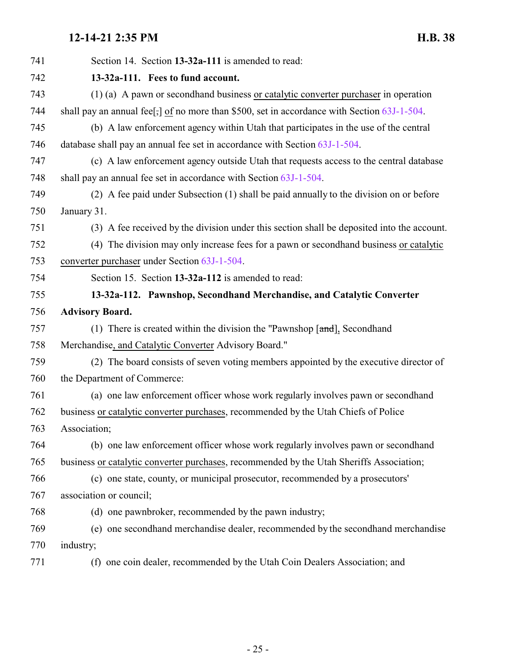<span id="page-24-1"></span><span id="page-24-0"></span>

| 741 | Section 14. Section 13-32a-111 is amended to read:                                             |
|-----|------------------------------------------------------------------------------------------------|
| 742 | 13-32a-111. Fees to fund account.                                                              |
| 743 | (1) (a) A pawn or second hand business or catalytic converter purchaser in operation           |
| 744 | shall pay an annual fee[,] of no more than \$500, set in accordance with Section $63J-1-504$ . |
| 745 | (b) A law enforcement agency within Utah that participates in the use of the central           |
| 746 | database shall pay an annual fee set in accordance with Section 63J-1-504.                     |
| 747 | (c) A law enforcement agency outside Utah that requests access to the central database         |
| 748 | shall pay an annual fee set in accordance with Section 63J-1-504.                              |
| 749 | (2) A fee paid under Subsection (1) shall be paid annually to the division on or before        |
| 750 | January 31.                                                                                    |
| 751 | (3) A fee received by the division under this section shall be deposited into the account.     |
| 752 | (4) The division may only increase fees for a pawn or second hand business or catalytic        |
| 753 | converter purchaser under Section 63J-1-504.                                                   |
| 754 | Section 15. Section 13-32a-112 is amended to read:                                             |
| 755 | 13-32a-112. Pawnshop, Secondhand Merchandise, and Catalytic Converter                          |
| 756 | <b>Advisory Board.</b>                                                                         |
| 757 | (1) There is created within the division the "Pawnshop $[\text{and}],$ Secondhand              |
| 758 | Merchandise, and Catalytic Converter Advisory Board."                                          |
| 759 | (2) The board consists of seven voting members appointed by the executive director of          |
| 760 | the Department of Commerce:                                                                    |
| 761 | (a) one law enforcement officer whose work regularly involves pawn or secondhand               |
| 762 | business or catalytic converter purchases, recommended by the Utah Chiefs of Police            |
| 763 | Association;                                                                                   |
| 764 | (b) one law enforcement officer whose work regularly involves pawn or secondhand               |
| 765 | business or catalytic converter purchases, recommended by the Utah Sheriffs Association;       |
| 766 | (c) one state, county, or municipal prosecutor, recommended by a prosecutors'                  |
| 767 | association or council;                                                                        |
| 768 | (d) one pawnbroker, recommended by the pawn industry;                                          |
| 769 | (e) one secondhand merchandise dealer, recommended by the secondhand merchandise               |
| 770 | industry;                                                                                      |
| 771 | (f) one coin dealer, recommended by the Utah Coin Dealers Association; and                     |
|     |                                                                                                |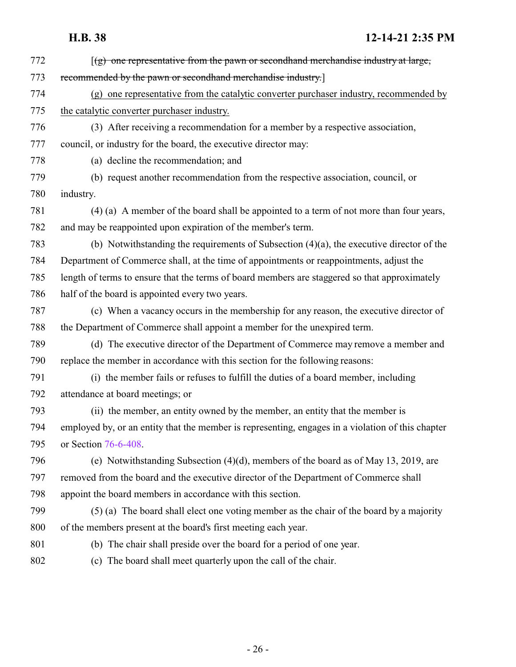[(g) one representative from the pawn or secondhand merchandise industry at large, recommended by the pawn or secondhand merchandise industry.] (g) one representative from the catalytic converter purchaser industry, recommended by the catalytic converter purchaser industry. (3) After receiving a recommendation for a member by a respective association, council, or industry for the board, the executive director may: (a) decline the recommendation; and (b) request another recommendation from the respective association, council, or industry. (4) (a) A member of the board shall be appointed to a term of not more than four years, and may be reappointed upon expiration of the member's term. (b) Notwithstanding the requirements of Subsection (4)(a), the executive director of the Department of Commerce shall, at the time of appointments or reappointments, adjust the length of terms to ensure that the terms of board members are staggered so that approximately half of the board is appointed every two years. (c) When a vacancy occurs in the membership for any reason, the executive director of the Department of Commerce shall appoint a member for the unexpired term. (d) The executive director of the Department of Commerce may remove a member and replace the member in accordance with this section for the following reasons: (i) the member fails or refuses to fulfill the duties of a board member, including attendance at board meetings; or (ii) the member, an entity owned by the member, an entity that the member is employed by, or an entity that the member is representing, engages in a violation of this chapter or Section [76-6-408](#page-44-0). (e) Notwithstanding Subsection (4)(d), members of the board as of May 13, 2019, are removed from the board and the executive director of the Department of Commerce shall appoint the board members in accordance with this section. (5) (a) The board shall elect one voting member as the chair of the board by a majority of the members present at the board's first meeting each year. (b) The chair shall preside over the board for a period of one year. (c) The board shall meet quarterly upon the call of the chair.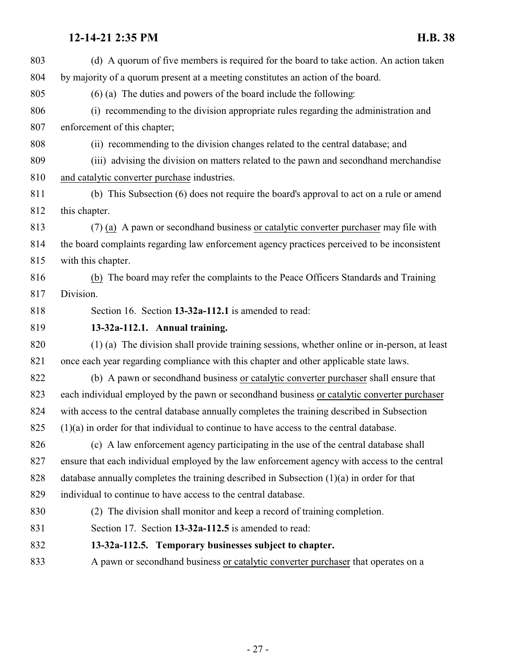<span id="page-26-1"></span><span id="page-26-0"></span>

| 803 | (d) A quorum of five members is required for the board to take action. An action taken        |
|-----|-----------------------------------------------------------------------------------------------|
| 804 | by majority of a quorum present at a meeting constitutes an action of the board.              |
| 805 | $(6)$ (a) The duties and powers of the board include the following:                           |
| 806 | (i) recommending to the division appropriate rules regarding the administration and           |
| 807 | enforcement of this chapter;                                                                  |
| 808 | (ii) recommending to the division changes related to the central database; and                |
| 809 | (iii) advising the division on matters related to the pawn and second hand merchandise        |
| 810 | and catalytic converter purchase industries.                                                  |
| 811 | (b) This Subsection (6) does not require the board's approval to act on a rule or amend       |
| 812 | this chapter.                                                                                 |
| 813 | $(7)$ (a) A pawn or second hand business or catalytic converter purchaser may file with       |
| 814 | the board complaints regarding law enforcement agency practices perceived to be inconsistent  |
| 815 | with this chapter.                                                                            |
| 816 | (b) The board may refer the complaints to the Peace Officers Standards and Training           |
| 817 | Division.                                                                                     |
| 818 | Section 16. Section 13-32a-112.1 is amended to read:                                          |
| 819 | 13-32a-112.1. Annual training.                                                                |
| 820 | (1) (a) The division shall provide training sessions, whether online or in-person, at least   |
| 821 | once each year regarding compliance with this chapter and other applicable state laws.        |
| 822 | (b) A pawn or second hand business or catalytic converter purchaser shall ensure that         |
| 823 | each individual employed by the pawn or secondhand business or catalytic converter purchaser  |
| 824 | with access to the central database annually completes the training described in Subsection   |
| 825 | $(1)(a)$ in order for that individual to continue to have access to the central database      |
| 826 | (c) A law enforcement agency participating in the use of the central database shall           |
| 827 | ensure that each individual employed by the law enforcement agency with access to the central |
| 828 | database annually completes the training described in Subsection $(1)(a)$ in order for that   |
| 829 | individual to continue to have access to the central database.                                |
| 830 | (2) The division shall monitor and keep a record of training completion.                      |
| 831 | Section 17. Section 13-32a-112.5 is amended to read:                                          |
| 832 | 13-32a-112.5. Temporary businesses subject to chapter.                                        |
| 833 | A pawn or secondhand business or catalytic converter purchaser that operates on a             |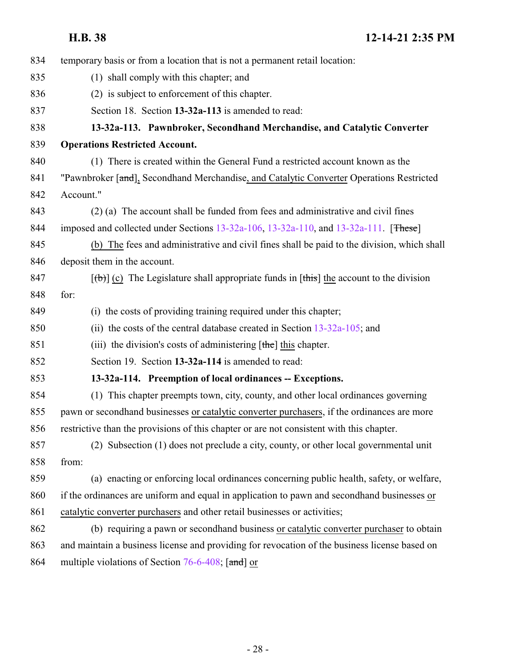<span id="page-27-1"></span><span id="page-27-0"></span>

| temporary basis or from a location that is not a permanent retail location:                   |
|-----------------------------------------------------------------------------------------------|
| (1) shall comply with this chapter; and                                                       |
| (2) is subject to enforcement of this chapter.                                                |
| Section 18. Section 13-32a-113 is amended to read:                                            |
| 13-32a-113. Pawnbroker, Secondhand Merchandise, and Catalytic Converter                       |
| <b>Operations Restricted Account.</b>                                                         |
| (1) There is created within the General Fund a restricted account known as the                |
| "Pawnbroker [and], Secondhand Merchandise, and Catalytic Converter Operations Restricted      |
| Account."                                                                                     |
| (2) (a) The account shall be funded from fees and administrative and civil fines              |
| imposed and collected under Sections 13-32a-106, 13-32a-110, and 13-32a-111. [These]          |
| (b) The fees and administrative and civil fines shall be paid to the division, which shall    |
| deposit them in the account.                                                                  |
| $[\phi]$ (c) The Legislature shall appropriate funds in [this] the account to the division    |
| for:                                                                                          |
| (i) the costs of providing training required under this chapter;                              |
| (ii) the costs of the central database created in Section $13-32a-105$ ; and                  |
| (iii) the division's costs of administering $[\text{the}]$ this chapter.                      |
| Section 19. Section 13-32a-114 is amended to read:                                            |
| 13-32a-114. Preemption of local ordinances -- Exceptions.                                     |
| (1) This chapter preempts town, city, county, and other local ordinances governing            |
| pawn or secondhand businesses or catalytic converter purchasers, if the ordinances are more   |
| restrictive than the provisions of this chapter or are not consistent with this chapter.      |
| (2) Subsection (1) does not preclude a city, county, or other local governmental unit         |
| from:                                                                                         |
| (a) enacting or enforcing local ordinances concerning public health, safety, or welfare,      |
| if the ordinances are uniform and equal in application to pawn and second hand businesses or  |
| catalytic converter purchasers and other retail businesses or activities;                     |
| (b) requiring a pawn or secondhand business or catalytic converter purchaser to obtain        |
| and maintain a business license and providing for revocation of the business license based on |
| multiple violations of Section $76-6-408$ ; [and] or                                          |
|                                                                                               |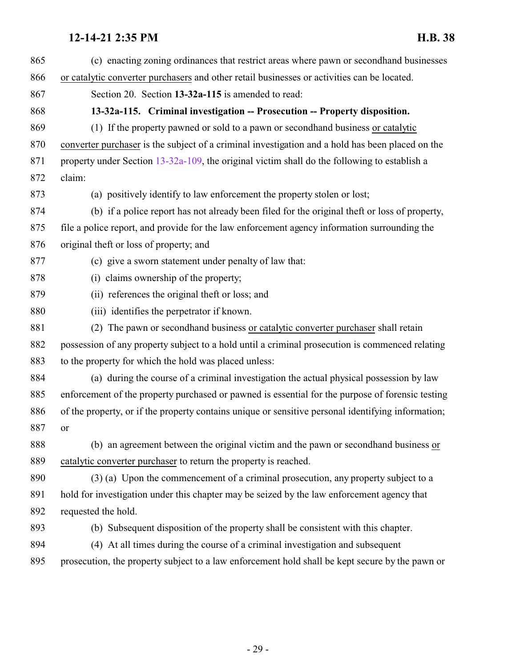<span id="page-28-0"></span>

| 865 | (c) enacting zoning ordinances that restrict areas where pawn or second hand businesses            |
|-----|----------------------------------------------------------------------------------------------------|
| 866 | or catalytic converter purchasers and other retail businesses or activities can be located.        |
| 867 | Section 20. Section 13-32a-115 is amended to read:                                                 |
| 868 | 13-32a-115. Criminal investigation -- Prosecution -- Property disposition.                         |
| 869 | (1) If the property pawned or sold to a pawn or second hand business or catalytic                  |
| 870 | converter purchaser is the subject of a criminal investigation and a hold has been placed on the   |
| 871 | property under Section 13-32a-109, the original victim shall do the following to establish a       |
| 872 | claim:                                                                                             |
| 873 | (a) positively identify to law enforcement the property stolen or lost;                            |
| 874 | (b) if a police report has not already been filed for the original theft or loss of property,      |
| 875 | file a police report, and provide for the law enforcement agency information surrounding the       |
| 876 | original theft or loss of property; and                                                            |
| 877 | (c) give a sworn statement under penalty of law that:                                              |
| 878 | (i) claims ownership of the property;                                                              |
| 879 | (ii) references the original theft or loss; and                                                    |
| 880 | (iii) identifies the perpetrator if known.                                                         |
| 881 | (2) The pawn or second hand business or catalytic converter purchaser shall retain                 |
| 882 | possession of any property subject to a hold until a criminal prosecution is commenced relating    |
| 883 | to the property for which the hold was placed unless:                                              |
| 884 | (a) during the course of a criminal investigation the actual physical possession by law            |
| 885 | enforcement of the property purchased or pawned is essential for the purpose of forensic testing   |
| 886 | of the property, or if the property contains unique or sensitive personal identifying information; |
| 887 | 0r.                                                                                                |
| 888 | (b) an agreement between the original victim and the pawn or second hand business or               |
| 889 | catalytic converter purchaser to return the property is reached.                                   |
| 890 | (3) (a) Upon the commencement of a criminal prosecution, any property subject to a                 |
| 891 | hold for investigation under this chapter may be seized by the law enforcement agency that         |
| 892 | requested the hold.                                                                                |
| 893 | (b) Subsequent disposition of the property shall be consistent with this chapter.                  |
| 894 | (4) At all times during the course of a criminal investigation and subsequent                      |
| 895 | prosecution, the property subject to a law enforcement hold shall be kept secure by the pawn or    |
|     |                                                                                                    |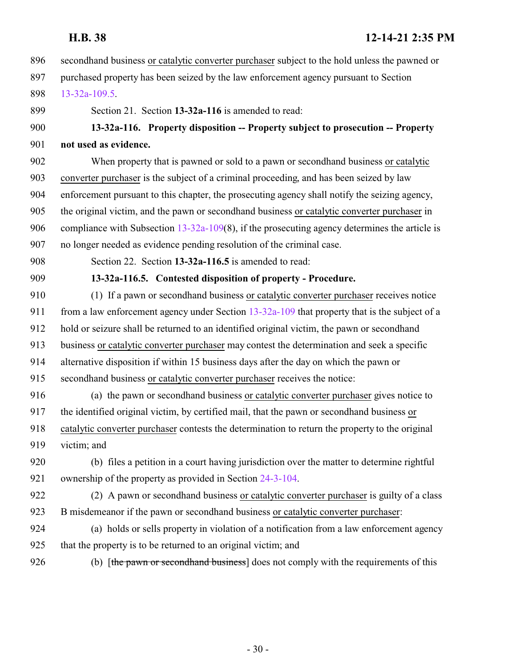- secondhand business or catalytic converter purchaser subject to the hold unless the pawned or purchased property has been seized by the law enforcement agency pursuant to Section [13-32a-109.5](#page-22-0). Section 21. Section **13-32a-116** is amended to read:
- <span id="page-29-0"></span> **13-32a-116. Property disposition -- Property subject to prosecution -- Property not used as evidence.**
- When property that is pawned or sold to a pawn or secondhand business or catalytic converter purchaser is the subject of a criminal proceeding, and has been seized by law enforcement pursuant to this chapter, the prosecuting agency shall notify the seizing agency, the original victim, and the pawn or secondhand business or catalytic converter purchaser in compliance with Subsection [13-32a-109](#page-18-1)(8), if the prosecuting agency determines the article is no longer needed as evidence pending resolution of the criminal case.
- <span id="page-29-1"></span>

Section 22. Section **13-32a-116.5** is amended to read:

**13-32a-116.5. Contested disposition of property - Procedure.**

- (1) If a pawn or secondhand business or catalytic converter purchaser receives notice 911 from a law enforcement agency under Section [13-32a-109](#page-18-1) that property that is the subject of a hold or seizure shall be returned to an identified original victim, the pawn or secondhand business or catalytic converter purchaser may contest the determination and seek a specific alternative disposition if within 15 business days after the day on which the pawn or secondhand business or catalytic converter purchaser receives the notice:
- (a) the pawn or secondhand business or catalytic converter purchaser gives notice to the identified original victim, by certified mail, that the pawn or secondhand business or catalytic converter purchaser contests the determination to return the property to the original victim; and
- (b) files a petition in a court having jurisdiction over the matter to determine rightful ownership of the property as provided in Section [24-3-104](http://le.utah.gov/UtahCode/SectionLookup.jsp?section=24-3-104&session=2022GS).
- (2) A pawn or secondhand business or catalytic converter purchaser is guilty of a class B misdemeanor if the pawn or secondhand business or catalytic converter purchaser:
- (a) holds or sells property in violation of a notification from a law enforcement agency that the property is to be returned to an original victim; and
- 

926 (b) [the pawn or second hand business] does not comply with the requirements of this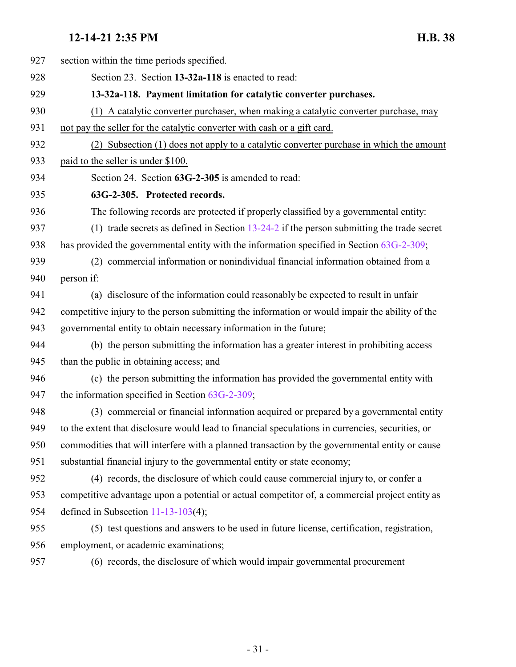<span id="page-30-1"></span><span id="page-30-0"></span>

| 927 | section within the time periods specified.                                                       |
|-----|--------------------------------------------------------------------------------------------------|
| 928 | Section 23. Section 13-32a-118 is enacted to read:                                               |
| 929 | 13-32a-118. Payment limitation for catalytic converter purchases.                                |
| 930 | (1) A catalytic converter purchaser, when making a catalytic converter purchase, may             |
| 931 | not pay the seller for the catalytic converter with cash or a gift card.                         |
| 932 | (2) Subsection (1) does not apply to a catalytic converter purchase in which the amount          |
| 933 | paid to the seller is under \$100.                                                               |
| 934 | Section 24. Section 63G-2-305 is amended to read:                                                |
| 935 | 63G-2-305. Protected records.                                                                    |
| 936 | The following records are protected if properly classified by a governmental entity:             |
| 937 | (1) trade secrets as defined in Section $13-24-2$ if the person submitting the trade secret      |
| 938 | has provided the governmental entity with the information specified in Section 63G-2-309;        |
| 939 | (2) commercial information or nonindividual financial information obtained from a                |
| 940 | person if:                                                                                       |
| 941 | (a) disclosure of the information could reasonably be expected to result in unfair               |
| 942 | competitive injury to the person submitting the information or would impair the ability of the   |
| 943 | governmental entity to obtain necessary information in the future;                               |
| 944 | (b) the person submitting the information has a greater interest in prohibiting access           |
| 945 | than the public in obtaining access; and                                                         |
| 946 | (c) the person submitting the information has provided the governmental entity with              |
| 947 | the information specified in Section $63G-2-309$ ;                                               |
| 948 | (3) commercial or financial information acquired or prepared by a governmental entity            |
| 949 | to the extent that disclosure would lead to financial speculations in currencies, securities, or |
| 950 | commodities that will interfere with a planned transaction by the governmental entity or cause   |
| 951 | substantial financial injury to the governmental entity or state economy;                        |
| 952 | (4) records, the disclosure of which could cause commercial injury to, or confer a               |
| 953 | competitive advantage upon a potential or actual competitor of, a commercial project entity as   |
| 954 | defined in Subsection $11-13-103(4)$ ;                                                           |
| 955 | (5) test questions and answers to be used in future license, certification, registration,        |
| 956 | employment, or academic examinations;                                                            |
| 957 | (6) records, the disclosure of which would impair governmental procurement                       |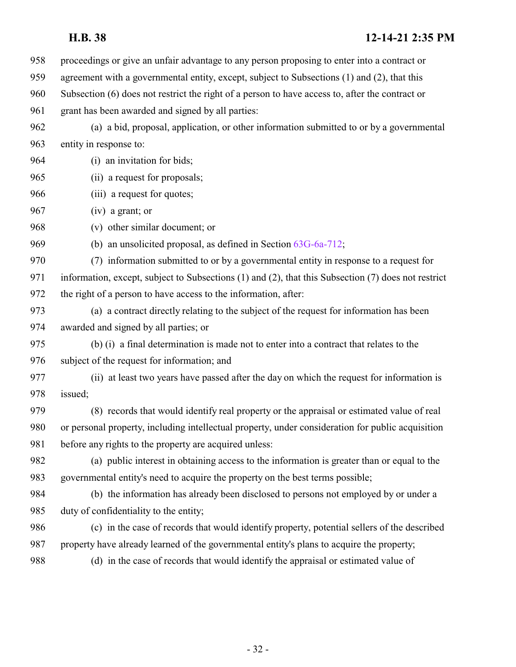proceedings or give an unfair advantage to any person proposing to enter into a contract or agreement with a governmental entity, except, subject to Subsections (1) and (2), that this Subsection (6) does not restrict the right of a person to have access to, after the contract or grant has been awarded and signed by all parties: (a) a bid, proposal, application, or other information submitted to or by a governmental entity in response to: (i) an invitation for bids; (ii) a request for proposals; (iii) a request for quotes; (iv) a grant; or (v) other similar document; or (b) an unsolicited proposal, as defined in Section [63G-6a-712](http://le.utah.gov/UtahCode/SectionLookup.jsp?section=63g-6a-712&session=2022GS); (7) information submitted to or by a governmental entity in response to a request for information, except, subject to Subsections (1) and (2), that this Subsection (7) does not restrict the right of a person to have access to the information, after: (a) a contract directly relating to the subject of the request for information has been awarded and signed by all parties; or (b) (i) a final determination is made not to enter into a contract that relates to the subject of the request for information; and (ii) at least two years have passed after the day on which the request for information is issued; (8) records that would identify real property or the appraisal or estimated value of real or personal property, including intellectual property, under consideration for public acquisition before any rights to the property are acquired unless: (a) public interest in obtaining access to the information is greater than or equal to the governmental entity's need to acquire the property on the best terms possible; (b) the information has already been disclosed to persons not employed by or under a duty of confidentiality to the entity; (c) in the case of records that would identify property, potential sellers of the described property have already learned of the governmental entity's plans to acquire the property; (d) in the case of records that would identify the appraisal or estimated value of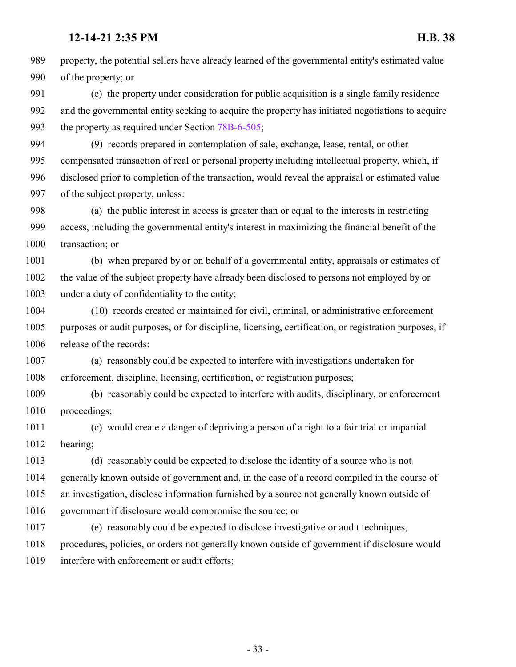property, the potential sellers have already learned of the governmental entity's estimated value of the property; or

 (e) the property under consideration for public acquisition is a single family residence and the governmental entity seeking to acquire the property has initiated negotiations to acquire the property as required under Section [78B-6-505](http://le.utah.gov/UtahCode/SectionLookup.jsp?section=78b-6-505&session=2022GS);

 (9) records prepared in contemplation of sale, exchange, lease, rental, or other compensated transaction of real or personal property including intellectual property, which, if disclosed prior to completion of the transaction, would reveal the appraisal or estimated value of the subject property, unless:

 (a) the public interest in access is greater than or equal to the interests in restricting access, including the governmental entity's interest in maximizing the financial benefit of the transaction; or

 (b) when prepared by or on behalf of a governmental entity, appraisals or estimates of the value of the subject property have already been disclosed to persons not employed by or under a duty of confidentiality to the entity;

 (10) records created or maintained for civil, criminal, or administrative enforcement purposes or audit purposes, or for discipline, licensing, certification, or registration purposes, if release of the records:

 (a) reasonably could be expected to interfere with investigations undertaken for enforcement, discipline, licensing, certification, or registration purposes;

 (b) reasonably could be expected to interfere with audits, disciplinary, or enforcement proceedings;

 (c) would create a danger of depriving a person of a right to a fair trial or impartial hearing;

 (d) reasonably could be expected to disclose the identity of a source who is not generally known outside of government and, in the case of a record compiled in the course of an investigation, disclose information furnished by a source not generally known outside of government if disclosure would compromise the source; or

 (e) reasonably could be expected to disclose investigative or audit techniques, procedures, policies, or orders not generally known outside of government if disclosure would interfere with enforcement or audit efforts;

- 33 -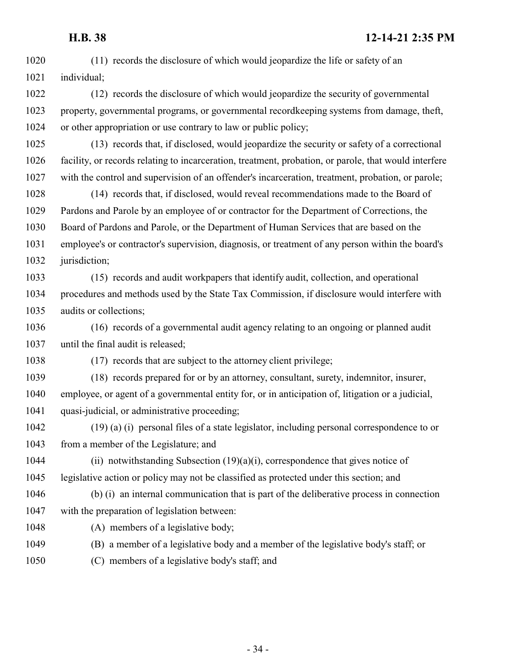(11) records the disclosure of which would jeopardize the life or safety of an individual; (12) records the disclosure of which would jeopardize the security of governmental property, governmental programs, or governmental recordkeeping systems from damage, theft, or other appropriation or use contrary to law or public policy; (13) records that, if disclosed, would jeopardize the security or safety of a correctional facility, or records relating to incarceration, treatment, probation, or parole, that would interfere with the control and supervision of an offender's incarceration, treatment, probation, or parole; (14) records that, if disclosed, would reveal recommendations made to the Board of Pardons and Parole by an employee of or contractor for the Department of Corrections, the Board of Pardons and Parole, or the Department of Human Services that are based on the employee's or contractor's supervision, diagnosis, or treatment of any person within the board's 1032 jurisdiction; (15) records and audit workpapers that identify audit, collection, and operational procedures and methods used by the State Tax Commission, if disclosure would interfere with audits or collections; (16) records of a governmental audit agency relating to an ongoing or planned audit until the final audit is released; (17) records that are subject to the attorney client privilege; (18) records prepared for or by an attorney, consultant, surety, indemnitor, insurer, employee, or agent of a governmental entity for, or in anticipation of, litigation or a judicial, quasi-judicial, or administrative proceeding; (19) (a) (i) personal files of a state legislator, including personal correspondence to or from a member of the Legislature; and (ii) notwithstanding Subsection (19)(a)(i), correspondence that gives notice of legislative action or policy may not be classified as protected under this section; and (b) (i) an internal communication that is part of the deliberative process in connection with the preparation of legislation between: 1048 (A) members of a legislative body; (B) a member of a legislative body and a member of the legislative body's staff; or (C) members of a legislative body's staff; and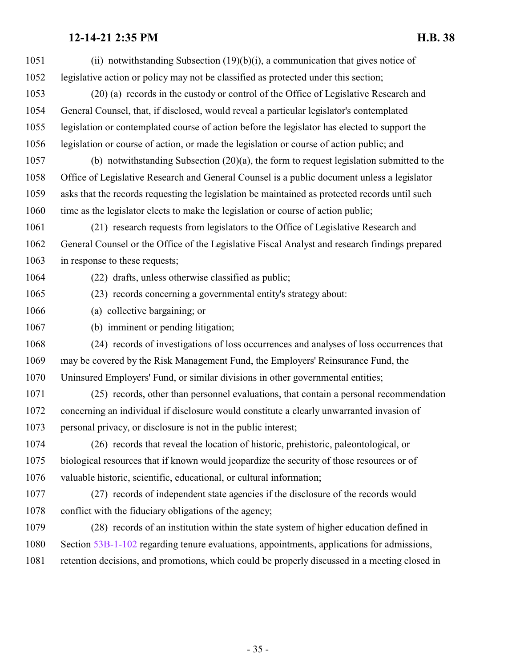| 1051 | (ii) notwithstanding Subsection $(19)(b)(i)$ , a communication that gives notice of            |
|------|------------------------------------------------------------------------------------------------|
| 1052 | legislative action or policy may not be classified as protected under this section;            |
| 1053 | (20) (a) records in the custody or control of the Office of Legislative Research and           |
| 1054 | General Counsel, that, if disclosed, would reveal a particular legislator's contemplated       |
| 1055 | legislation or contemplated course of action before the legislator has elected to support the  |
| 1056 | legislation or course of action, or made the legislation or course of action public; and       |
| 1057 | (b) notwithstanding Subsection $(20)(a)$ , the form to request legislation submitted to the    |
| 1058 | Office of Legislative Research and General Counsel is a public document unless a legislator    |
| 1059 | asks that the records requesting the legislation be maintained as protected records until such |
| 1060 | time as the legislator elects to make the legislation or course of action public;              |
| 1061 | (21) research requests from legislators to the Office of Legislative Research and              |
| 1062 | General Counsel or the Office of the Legislative Fiscal Analyst and research findings prepared |
| 1063 | in response to these requests;                                                                 |
| 1064 | (22) drafts, unless otherwise classified as public;                                            |
| 1065 | (23) records concerning a governmental entity's strategy about:                                |
| 1066 | (a) collective bargaining; or                                                                  |
|      |                                                                                                |
| 1067 | (b) imminent or pending litigation;                                                            |
| 1068 | (24) records of investigations of loss occurrences and analyses of loss occurrences that       |
| 1069 | may be covered by the Risk Management Fund, the Employers' Reinsurance Fund, the               |
| 1070 | Uninsured Employers' Fund, or similar divisions in other governmental entities;                |
| 1071 | (25) records, other than personnel evaluations, that contain a personal recommendation         |
| 1072 | concerning an individual if disclosure would constitute a clearly unwarranted invasion of      |
| 1073 | personal privacy, or disclosure is not in the public interest;                                 |
| 1074 | (26) records that reveal the location of historic, prehistoric, paleontological, or            |
| 1075 | biological resources that if known would jeopardize the security of those resources or of      |
| 1076 | valuable historic, scientific, educational, or cultural information;                           |
| 1077 | (27) records of independent state agencies if the disclosure of the records would              |
| 1078 | conflict with the fiduciary obligations of the agency;                                         |
| 1079 | (28) records of an institution within the state system of higher education defined in          |
| 1080 | Section 53B-1-102 regarding tenure evaluations, appointments, applications for admissions,     |
| 1081 | retention decisions, and promotions, which could be properly discussed in a meeting closed in  |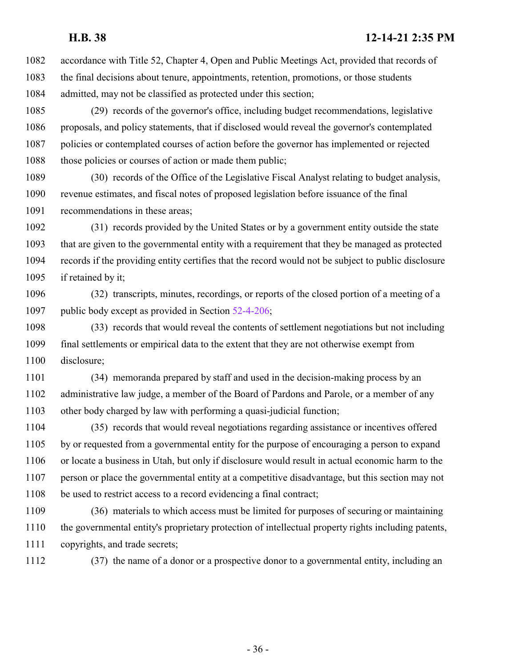accordance with Title 52, Chapter 4, Open and Public Meetings Act, provided that records of the final decisions about tenure, appointments, retention, promotions, or those students admitted, may not be classified as protected under this section;

 (29) records of the governor's office, including budget recommendations, legislative proposals, and policy statements, that if disclosed would reveal the governor's contemplated policies or contemplated courses of action before the governor has implemented or rejected 1088 those policies or courses of action or made them public;

 (30) records of the Office of the Legislative Fiscal Analyst relating to budget analysis, revenue estimates, and fiscal notes of proposed legislation before issuance of the final recommendations in these areas;

 (31) records provided by the United States or by a government entity outside the state that are given to the governmental entity with a requirement that they be managed as protected records if the providing entity certifies that the record would not be subject to public disclosure if retained by it;

 (32) transcripts, minutes, recordings, or reports of the closed portion of a meeting of a 1097 public body except as provided in Section [52-4-206](http://le.utah.gov/UtahCode/SectionLookup.jsp?section=52-4-206&session=2022GS);

 (33) records that would reveal the contents of settlement negotiations but not including final settlements or empirical data to the extent that they are not otherwise exempt from disclosure;

 (34) memoranda prepared by staff and used in the decision-making process by an administrative law judge, a member of the Board of Pardons and Parole, or a member of any other body charged by law with performing a quasi-judicial function;

 (35) records that would reveal negotiations regarding assistance or incentives offered by or requested from a governmental entity for the purpose of encouraging a person to expand or locate a business in Utah, but only if disclosure would result in actual economic harm to the person or place the governmental entity at a competitive disadvantage, but this section may not be used to restrict access to a record evidencing a final contract;

 (36) materials to which access must be limited for purposes of securing or maintaining the governmental entity's proprietary protection of intellectual property rights including patents, copyrights, and trade secrets;

(37) the name of a donor or a prospective donor to a governmental entity, including an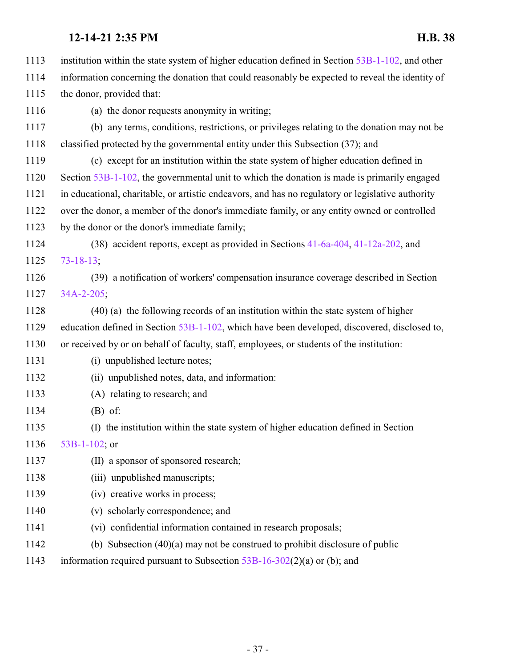|      | 12-14-21 2:35 PM<br><b>H.B. 38</b>                                                                 |
|------|----------------------------------------------------------------------------------------------------|
| 1113 | institution within the state system of higher education defined in Section $53B-1-102$ , and other |
| 1114 | information concerning the donation that could reasonably be expected to reveal the identity of    |
| 1115 | the donor, provided that:                                                                          |
| 1116 | (a) the donor requests anonymity in writing;                                                       |
| 1117 | (b) any terms, conditions, restrictions, or privileges relating to the donation may not be         |
| 1118 | classified protected by the governmental entity under this Subsection (37); and                    |
| 1119 | (c) except for an institution within the state system of higher education defined in               |
| 1120 | Section 53B-1-102, the governmental unit to which the donation is made is primarily engaged        |
| 1121 | in educational, charitable, or artistic endeavors, and has no regulatory or legislative authority  |
| 1122 | over the donor, a member of the donor's immediate family, or any entity owned or controlled        |
| 1123 | by the donor or the donor's immediate family;                                                      |
| 1124 | (38) accident reports, except as provided in Sections 41-6a-404, 41-12a-202, and                   |
| 1125 | $73 - 18 - 13$                                                                                     |
| 1126 | (39) a notification of workers' compensation insurance coverage described in Section               |
| 1127 | $34A - 2 - 205$ ;                                                                                  |
| 1128 | (40) (a) the following records of an institution within the state system of higher                 |
| 1129 | education defined in Section 53B-1-102, which have been developed, discovered, disclosed to,       |
| 1130 | or received by or on behalf of faculty, staff, employees, or students of the institution:          |
| 1131 | (i) unpublished lecture notes;                                                                     |
| 1132 | (ii) unpublished notes, data, and information:                                                     |
| 1133 | (A) relating to research; and                                                                      |
| 1134 | $(B)$ of:                                                                                          |
| 1135 | (I) the institution within the state system of higher education defined in Section                 |
| 1136 | 53B-1-102; or                                                                                      |
| 1137 | (II) a sponsor of sponsored research;                                                              |
| 1138 | (iii) unpublished manuscripts;                                                                     |
| 1139 | (iv) creative works in process;                                                                    |
| 1140 | (v) scholarly correspondence; and                                                                  |
| 1141 | (vi) confidential information contained in research proposals;                                     |
| 1142 | (b) Subsection $(40)(a)$ may not be construed to prohibit disclosure of public                     |

information required pursuant to Subsection [53B-16-302](http://le.utah.gov/UtahCode/SectionLookup.jsp?section=53b-16-302&session=2022GS)(2)(a) or (b); and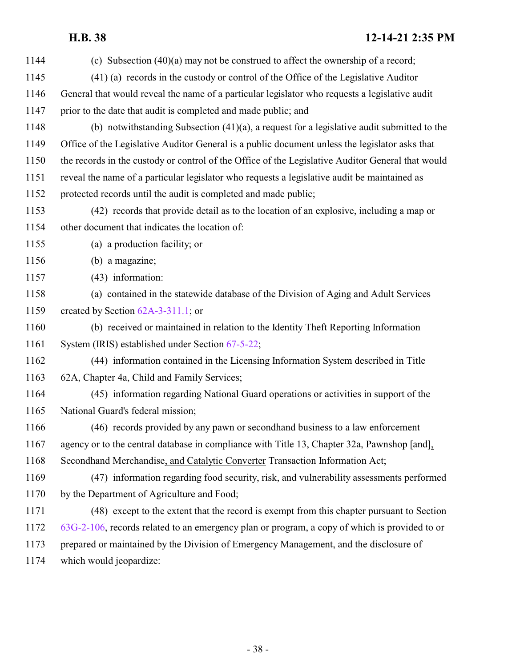| 1144 | (c) Subsection $(40)(a)$ may not be construed to affect the ownership of a record;                |
|------|---------------------------------------------------------------------------------------------------|
| 1145 | (41) (a) records in the custody or control of the Office of the Legislative Auditor               |
| 1146 | General that would reveal the name of a particular legislator who requests a legislative audit    |
| 1147 | prior to the date that audit is completed and made public; and                                    |
| 1148 | (b) notwithstanding Subsection $(41)(a)$ , a request for a legislative audit submitted to the     |
| 1149 | Office of the Legislative Auditor General is a public document unless the legislator asks that    |
| 1150 | the records in the custody or control of the Office of the Legislative Auditor General that would |
| 1151 | reveal the name of a particular legislator who requests a legislative audit be maintained as      |
| 1152 | protected records until the audit is completed and made public;                                   |
| 1153 | (42) records that provide detail as to the location of an explosive, including a map or           |
| 1154 | other document that indicates the location of:                                                    |
| 1155 | (a) a production facility; or                                                                     |
| 1156 | (b) a magazine;                                                                                   |
| 1157 | (43) information:                                                                                 |
| 1158 | (a) contained in the statewide database of the Division of Aging and Adult Services               |
| 1159 | created by Section $62A-3-311.1$ ; or                                                             |
| 1160 | (b) received or maintained in relation to the Identity Theft Reporting Information                |
| 1161 | System (IRIS) established under Section 67-5-22;                                                  |
| 1162 | (44) information contained in the Licensing Information System described in Title                 |
| 1163 | 62A, Chapter 4a, Child and Family Services;                                                       |
| 1164 | (45) information regarding National Guard operations or activities in support of the              |
| 1165 | National Guard's federal mission;                                                                 |
| 1166 | (46) records provided by any pawn or second hand business to a law enforcement                    |
| 1167 | agency or to the central database in compliance with Title 13, Chapter 32a, Pawnshop [and],       |
| 1168 | Secondhand Merchandise, and Catalytic Converter Transaction Information Act;                      |
| 1169 | (47) information regarding food security, risk, and vulnerability assessments performed           |
| 1170 | by the Department of Agriculture and Food;                                                        |
| 1171 | (48) except to the extent that the record is exempt from this chapter pursuant to Section         |
| 1172 | $63G-2-106$ , records related to an emergency plan or program, a copy of which is provided to or  |
| 1173 | prepared or maintained by the Division of Emergency Management, and the disclosure of             |
| 1174 | which would jeopardize:                                                                           |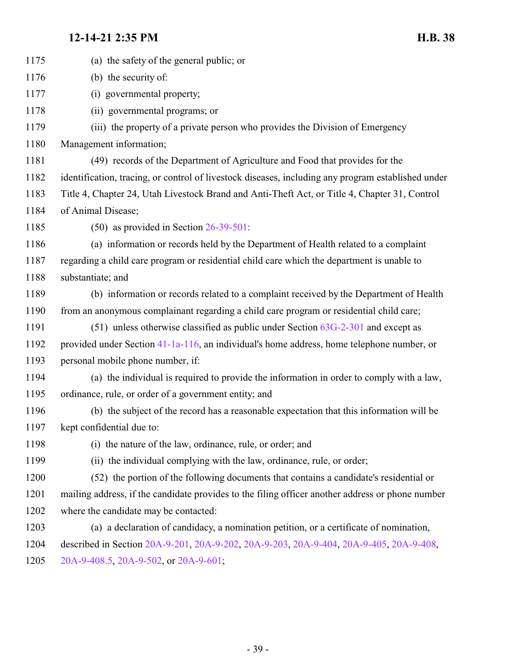| 1175 | (a) the safety of the general public; or                                                           |
|------|----------------------------------------------------------------------------------------------------|
| 1176 | (b) the security of:                                                                               |
| 1177 | (i) governmental property;                                                                         |
| 1178 | (ii) governmental programs; or                                                                     |
| 1179 | (iii) the property of a private person who provides the Division of Emergency                      |
| 1180 | Management information;                                                                            |
| 1181 | (49) records of the Department of Agriculture and Food that provides for the                       |
| 1182 | identification, tracing, or control of livestock diseases, including any program established under |
| 1183 | Title 4, Chapter 24, Utah Livestock Brand and Anti-Theft Act, or Title 4, Chapter 31, Control      |
| 1184 | of Animal Disease;                                                                                 |
| 1185 | $(50)$ as provided in Section 26-39-501:                                                           |
| 1186 | (a) information or records held by the Department of Health related to a complaint                 |
| 1187 | regarding a child care program or residential child care which the department is unable to         |
| 1188 | substantiate; and                                                                                  |
| 1189 | (b) information or records related to a complaint received by the Department of Health             |
| 1190 | from an anonymous complainant regarding a child care program or residential child care;            |
| 1191 | $(51)$ unless otherwise classified as public under Section $63G-2-301$ and except as               |
| 1192 | provided under Section 41-1a-116, an individual's home address, home telephone number, or          |
| 1193 | personal mobile phone number, if:                                                                  |
| 1194 | (a) the individual is required to provide the information in order to comply with a law,           |
| 1195 | ordinance, rule, or order of a government entity; and                                              |
| 1196 | (b) the subject of the record has a reasonable expectation that this information will be           |
| 1197 | kept confidential due to:                                                                          |
| 1198 | (i) the nature of the law, ordinance, rule, or order; and                                          |
| 1199 | (ii) the individual complying with the law, ordinance, rule, or order;                             |
| 1200 | (52) the portion of the following documents that contains a candidate's residential or             |
| 1201 | mailing address, if the candidate provides to the filing officer another address or phone number   |
| 1202 | where the candidate may be contacted:                                                              |
| 1203 | (a) a declaration of candidacy, a nomination petition, or a certificate of nomination,             |
| 1204 | described in Section 20A-9-201, 20A-9-202, 20A-9-203, 20A-9-404, 20A-9-405, 20A-9-408,             |
| 1205 | 20A-9-408.5, 20A-9-502, or 20A-9-601;                                                              |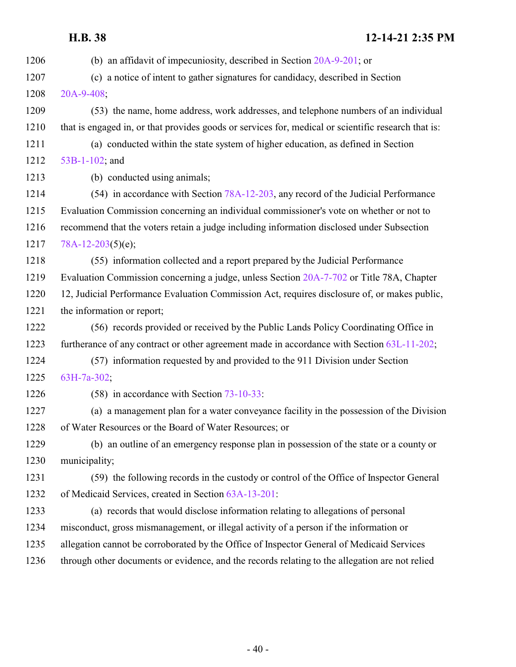(b) an affidavit of impecuniosity, described in Section [20A-9-201](http://le.utah.gov/UtahCode/SectionLookup.jsp?section=20a-9-201&session=2022GS); or (c) a notice of intent to gather signatures for candidacy, described in Section [20A-9-408](http://le.utah.gov/UtahCode/SectionLookup.jsp?section=20a-9-408&session=2022GS); (53) the name, home address, work addresses, and telephone numbers of an individual that is engaged in, or that provides goods or services for, medical or scientific research that is: (a) conducted within the state system of higher education, as defined in Section [53B-1-102](http://le.utah.gov/UtahCode/SectionLookup.jsp?section=53b-1-102&session=2022GS); and (b) conducted using animals; 1214 (54) in accordance with Section [78A-12-203](http://le.utah.gov/UtahCode/SectionLookup.jsp?section=78a-12-203&session=2022GS), any record of the Judicial Performance Evaluation Commission concerning an individual commissioner's vote on whether or not to recommend that the voters retain a judge including information disclosed under Subsection [78A-12-203](http://le.utah.gov/UtahCode/SectionLookup.jsp?section=78a-12-203&session=2022GS)(5)(e); (55) information collected and a report prepared by the Judicial Performance Evaluation Commission concerning a judge, unless Section [20A-7-702](http://le.utah.gov/UtahCode/SectionLookup.jsp?section=20a-7-702&session=2022GS) or Title 78A, Chapter 12, Judicial Performance Evaluation Commission Act, requires disclosure of, or makes public, the information or report; (56) records provided or received by the Public Lands Policy Coordinating Office in furtherance of any contract or other agreement made in accordance with Section [63L-11-202](http://le.utah.gov/UtahCode/SectionLookup.jsp?section=63l-11-202&session=2022GS); (57) information requested by and provided to the 911 Division under Section [63H-7a-302](http://le.utah.gov/UtahCode/SectionLookup.jsp?section=63h-7a-302&session=2022GS); (58) in accordance with Section [73-10-33](http://le.utah.gov/UtahCode/SectionLookup.jsp?section=73-10-33&session=2022GS): (a) a management plan for a water conveyance facility in the possession of the Division of Water Resources or the Board of Water Resources; or (b) an outline of an emergency response plan in possession of the state or a county or municipality; (59) the following records in the custody or control of the Office of Inspector General of Medicaid Services, created in Section [63A-13-201](http://le.utah.gov/UtahCode/SectionLookup.jsp?section=63a-13-201&session=2022GS): (a) records that would disclose information relating to allegations of personal misconduct, gross mismanagement, or illegal activity of a person if the information or allegation cannot be corroborated by the Office of Inspector General of Medicaid Services through other documents or evidence, and the records relating to the allegation are not relied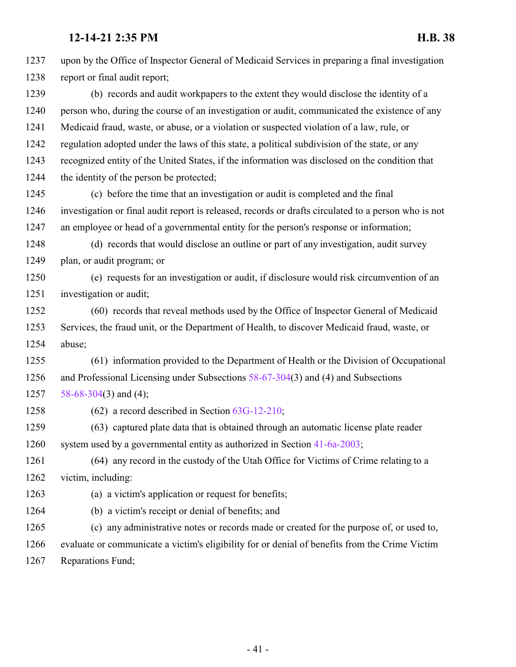upon by the Office of Inspector General of Medicaid Services in preparing a final investigation report or final audit report; (b) records and audit workpapers to the extent they would disclose the identity of a person who, during the course of an investigation or audit, communicated the existence of any Medicaid fraud, waste, or abuse, or a violation or suspected violation of a law, rule, or regulation adopted under the laws of this state, a political subdivision of the state, or any recognized entity of the United States, if the information was disclosed on the condition that the identity of the person be protected; (c) before the time that an investigation or audit is completed and the final investigation or final audit report is released, records or drafts circulated to a person who is not an employee or head of a governmental entity for the person's response or information; (d) records that would disclose an outline or part of any investigation, audit survey plan, or audit program; or (e) requests for an investigation or audit, if disclosure would risk circumvention of an investigation or audit; (60) records that reveal methods used by the Office of Inspector General of Medicaid Services, the fraud unit, or the Department of Health, to discover Medicaid fraud, waste, or abuse; (61) information provided to the Department of Health or the Division of Occupational and Professional Licensing under Subsections [58-67-304](http://le.utah.gov/UtahCode/SectionLookup.jsp?section=58-67-304&session=2022GS)(3) and (4) and Subsections [58-68-304](http://le.utah.gov/UtahCode/SectionLookup.jsp?section=58-68-304&session=2022GS)(3) and (4); (62) a record described in Section [63G-12-210](http://le.utah.gov/UtahCode/SectionLookup.jsp?section=63g-12-210&session=2022GS); (63) captured plate data that is obtained through an automatic license plate reader system used by a governmental entity as authorized in Section [41-6a-2003](http://le.utah.gov/UtahCode/SectionLookup.jsp?section=41-6a-2003&session=2022GS); (64) any record in the custody of the Utah Office for Victims of Crime relating to a victim, including: (a) a victim's application or request for benefits; (b) a victim's receipt or denial of benefits; and (c) any administrative notes or records made or created for the purpose of, or used to, evaluate or communicate a victim's eligibility for or denial of benefits from the Crime Victim Reparations Fund;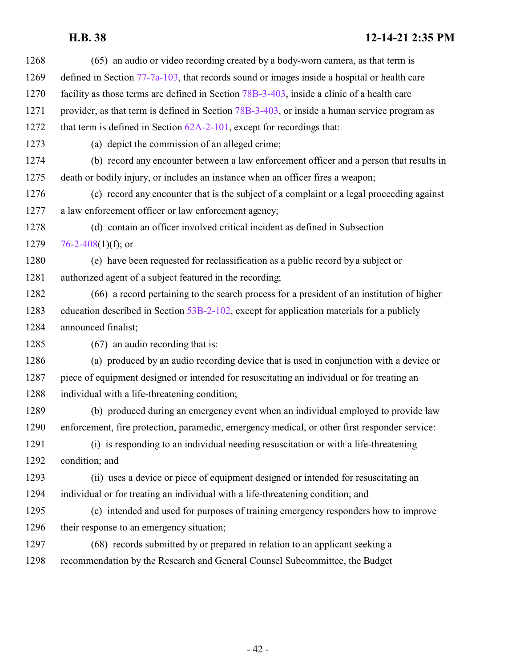| 1268 | (65) an audio or video recording created by a body-worn camera, as that term is                |
|------|------------------------------------------------------------------------------------------------|
| 1269 | defined in Section $77-7a-103$ , that records sound or images inside a hospital or health care |
| 1270 | facility as those terms are defined in Section 78B-3-403, inside a clinic of a health care     |
| 1271 | provider, as that term is defined in Section 78B-3-403, or inside a human service program as   |
| 1272 | that term is defined in Section $62A-2-101$ , except for recordings that:                      |
| 1273 | (a) depict the commission of an alleged crime;                                                 |
| 1274 | (b) record any encounter between a law enforcement officer and a person that results in        |
| 1275 | death or bodily injury, or includes an instance when an officer fires a weapon;                |
| 1276 | (c) record any encounter that is the subject of a complaint or a legal proceeding against      |
| 1277 | a law enforcement officer or law enforcement agency;                                           |
| 1278 | (d) contain an officer involved critical incident as defined in Subsection                     |
| 1279 | 76-2-408(1)(f); or                                                                             |
| 1280 | (e) have been requested for reclassification as a public record by a subject or                |
| 1281 | authorized agent of a subject featured in the recording;                                       |
| 1282 | (66) a record pertaining to the search process for a president of an institution of higher     |
| 1283 | education described in Section 53B-2-102, except for application materials for a publicly      |
| 1284 | announced finalist;                                                                            |
| 1285 | $(67)$ an audio recording that is:                                                             |
| 1286 | (a) produced by an audio recording device that is used in conjunction with a device or         |
| 1287 | piece of equipment designed or intended for resuscitating an individual or for treating an     |
| 1288 | individual with a life-threatening condition;                                                  |
| 1289 | (b) produced during an emergency event when an individual employed to provide law              |
| 1290 | enforcement, fire protection, paramedic, emergency medical, or other first responder service:  |
| 1291 | (i) is responding to an individual needing resuscitation or with a life-threatening            |
| 1292 | condition; and                                                                                 |
| 1293 | (ii) uses a device or piece of equipment designed or intended for resuscitating an             |
| 1294 | individual or for treating an individual with a life-threatening condition; and                |
| 1295 | (c) intended and used for purposes of training emergency responders how to improve             |
| 1296 | their response to an emergency situation;                                                      |
| 1297 | (68) records submitted by or prepared in relation to an applicant seeking a                    |
| 1298 | recommendation by the Research and General Counsel Subcommittee, the Budget                    |
|      |                                                                                                |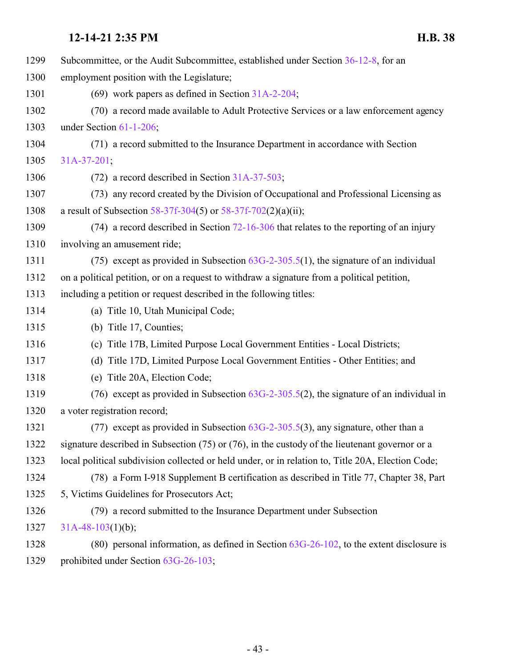| 1299 | Subcommittee, or the Audit Subcommittee, established under Section 36-12-8, for an                |
|------|---------------------------------------------------------------------------------------------------|
| 1300 | employment position with the Legislature;                                                         |
| 1301 | (69) work papers as defined in Section $31A-2-204$ ;                                              |
| 1302 | (70) a record made available to Adult Protective Services or a law enforcement agency             |
| 1303 | under Section 61-1-206;                                                                           |
| 1304 | (71) a record submitted to the Insurance Department in accordance with Section                    |
| 1305 | $31A-37-201$ ;                                                                                    |
| 1306 | $(72)$ a record described in Section 31A-37-503;                                                  |
| 1307 | (73) any record created by the Division of Occupational and Professional Licensing as             |
| 1308 | a result of Subsection 58-37f-304(5) or 58-37f-702(2)(a)(ii);                                     |
| 1309 | $(74)$ a record described in Section 72-16-306 that relates to the reporting of an injury         |
| 1310 | involving an amusement ride;                                                                      |
| 1311 | (75) except as provided in Subsection $63G-2-305.5(1)$ , the signature of an individual           |
| 1312 | on a political petition, or on a request to withdraw a signature from a political petition,       |
| 1313 | including a petition or request described in the following titles:                                |
| 1314 | (a) Title 10, Utah Municipal Code;                                                                |
| 1315 | (b) Title 17, Counties;                                                                           |
| 1316 | (c) Title 17B, Limited Purpose Local Government Entities - Local Districts;                       |
| 1317 | (d) Title 17D, Limited Purpose Local Government Entities - Other Entities; and                    |
| 1318 | (e) Title 20A, Election Code;                                                                     |
| 1319 | (76) except as provided in Subsection $63G-2-305.5(2)$ , the signature of an individual in        |
| 1320 | a voter registration record;                                                                      |
| 1321 | (77) except as provided in Subsection $63G-2-305.5(3)$ , any signature, other than a              |
| 1322 | signature described in Subsection (75) or (76), in the custody of the lieutenant governor or a    |
| 1323 | local political subdivision collected or held under, or in relation to, Title 20A, Election Code; |
| 1324 | (78) a Form I-918 Supplement B certification as described in Title 77, Chapter 38, Part           |
| 1325 | 5, Victims Guidelines for Prosecutors Act;                                                        |
| 1326 | (79) a record submitted to the Insurance Department under Subsection                              |
| 1327 | $31A-48-103(1)(b);$                                                                               |
| 1328 | (80) personal information, as defined in Section $63G-26-102$ , to the extent disclosure is       |
| 1329 | prohibited under Section 63G-26-103;                                                              |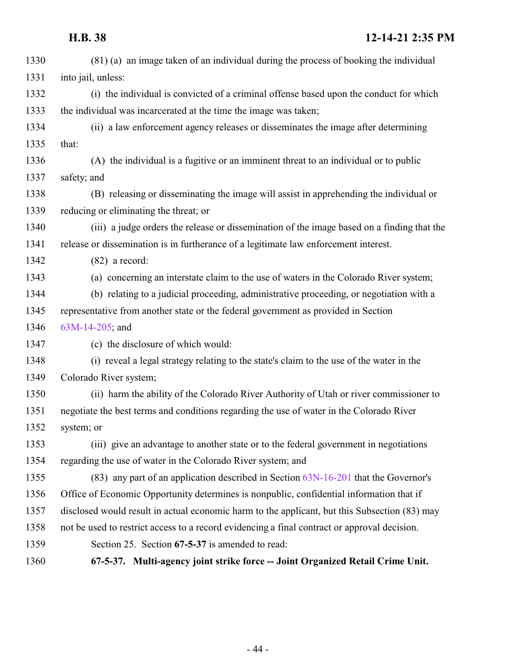<span id="page-43-0"></span>

| 1330 | (81) (a) an image taken of an individual during the process of booking the individual         |
|------|-----------------------------------------------------------------------------------------------|
| 1331 | into jail, unless:                                                                            |
| 1332 | (i) the individual is convicted of a criminal offense based upon the conduct for which        |
| 1333 | the individual was incarcerated at the time the image was taken;                              |
| 1334 | (ii) a law enforcement agency releases or disseminates the image after determining            |
| 1335 | that:                                                                                         |
| 1336 | (A) the individual is a fugitive or an imminent threat to an individual or to public          |
| 1337 | safety; and                                                                                   |
| 1338 | (B) releasing or disseminating the image will assist in apprehending the individual or        |
| 1339 | reducing or eliminating the threat; or                                                        |
| 1340 | (iii) a judge orders the release or dissemination of the image based on a finding that the    |
| 1341 | release or dissemination is in furtherance of a legitimate law enforcement interest.          |
| 1342 | $(82)$ a record:                                                                              |
| 1343 | (a) concerning an interstate claim to the use of waters in the Colorado River system;         |
| 1344 | (b) relating to a judicial proceeding, administrative proceeding, or negotiation with a       |
| 1345 | representative from another state or the federal government as provided in Section            |
| 1346 | $63M-14-205$ ; and                                                                            |
| 1347 | (c) the disclosure of which would:                                                            |
| 1348 | (i) reveal a legal strategy relating to the state's claim to the use of the water in the      |
| 1349 | Colorado River system;                                                                        |
| 1350 | (ii) harm the ability of the Colorado River Authority of Utah or river commissioner to        |
| 1351 | negotiate the best terms and conditions regarding the use of water in the Colorado River      |
| 1352 | system; or                                                                                    |
| 1353 | (iii) give an advantage to another state or to the federal government in negotiations         |
| 1354 | regarding the use of water in the Colorado River system; and                                  |
| 1355 | $(83)$ any part of an application described in Section $63N-16-201$ that the Governor's       |
| 1356 | Office of Economic Opportunity determines is nonpublic, confidential information that if      |
| 1357 | disclosed would result in actual economic harm to the applicant, but this Subsection (83) may |
| 1358 | not be used to restrict access to a record evidencing a final contract or approval decision.  |
| 1359 | Section 25. Section 67-5-37 is amended to read:                                               |
| 1360 | 67-5-37. Multi-agency joint strike force -- Joint Organized Retail Crime Unit.                |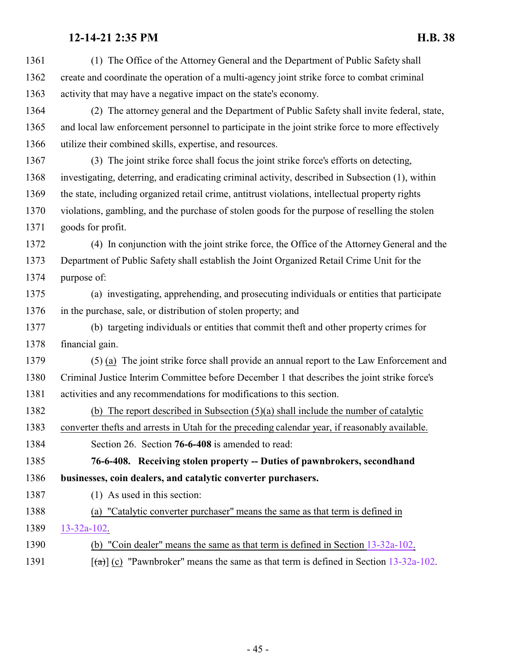<span id="page-44-0"></span>

| 1361 | (1) The Office of the Attorney General and the Department of Public Safety shall                          |
|------|-----------------------------------------------------------------------------------------------------------|
| 1362 | create and coordinate the operation of a multi-agency joint strike force to combat criminal               |
| 1363 | activity that may have a negative impact on the state's economy.                                          |
| 1364 | (2) The attorney general and the Department of Public Safety shall invite federal, state,                 |
| 1365 | and local law enforcement personnel to participate in the joint strike force to more effectively          |
| 1366 | utilize their combined skills, expertise, and resources.                                                  |
| 1367 | (3) The joint strike force shall focus the joint strike force's efforts on detecting,                     |
| 1368 | investigating, deterring, and eradicating criminal activity, described in Subsection (1), within          |
| 1369 | the state, including organized retail crime, antitrust violations, intellectual property rights           |
| 1370 | violations, gambling, and the purchase of stolen goods for the purpose of reselling the stolen            |
| 1371 | goods for profit.                                                                                         |
| 1372 | (4) In conjunction with the joint strike force, the Office of the Attorney General and the                |
| 1373 | Department of Public Safety shall establish the Joint Organized Retail Crime Unit for the                 |
| 1374 | purpose of:                                                                                               |
| 1375 | (a) investigating, apprehending, and prosecuting individuals or entities that participate                 |
| 1376 | in the purchase, sale, or distribution of stolen property; and                                            |
| 1377 | (b) targeting individuals or entities that commit theft and other property crimes for                     |
| 1378 | financial gain.                                                                                           |
| 1379 | (5) (a) The joint strike force shall provide an annual report to the Law Enforcement and                  |
| 1380 | Criminal Justice Interim Committee before December 1 that describes the joint strike force's              |
| 1381 | activities and any recommendations for modifications to this section.                                     |
| 1382 | (b) The report described in Subsection $(5)(a)$ shall include the number of catalytic                     |
| 1383 | converter thefts and arrests in Utah for the preceding calendar year, if reasonably available.            |
| 1384 | Section 26. Section 76-6-408 is amended to read:                                                          |
| 1385 | 76-6-408. Receiving stolen property -- Duties of pawnbrokers, secondhand                                  |
| 1386 | businesses, coin dealers, and catalytic converter purchasers.                                             |
| 1387 | $(1)$ As used in this section:                                                                            |
| 1388 | "Catalytic converter purchaser" means the same as that term is defined in<br>(a)                          |
| 1389 | $13 - 32a - 102$ .                                                                                        |
| 1390 | (b) "Coin dealer" means the same as that term is defined in Section 13-32a-102.                           |
| 1391 | $\left[\frac{1}{2}\right]$ (c) "Pawnbroker" means the same as that term is defined in Section 13-32a-102. |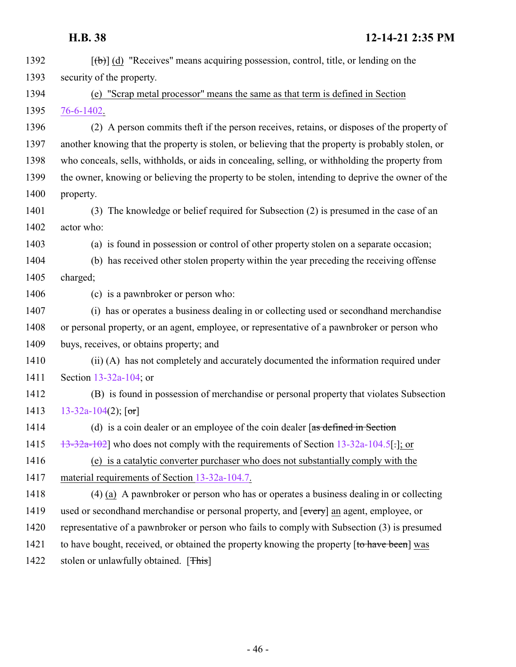| 1392 | $[\theta]$ (d) "Receives" means acquiring possession, control, title, or lending on the            |
|------|----------------------------------------------------------------------------------------------------|
| 1393 | security of the property.                                                                          |
| 1394 | "Scrap metal processor" means the same as that term is defined in Section<br>(e)                   |
| 1395 | 76-6-1402.                                                                                         |
| 1396 | (2) A person commits theft if the person receives, retains, or disposes of the property of         |
| 1397 | another knowing that the property is stolen, or believing that the property is probably stolen, or |
| 1398 | who conceals, sells, withholds, or aids in concealing, selling, or withholding the property from   |
| 1399 | the owner, knowing or believing the property to be stolen, intending to deprive the owner of the   |
| 1400 | property.                                                                                          |
| 1401 | The knowledge or belief required for Subsection $(2)$ is presumed in the case of an<br>(3)         |
| 1402 | actor who:                                                                                         |
| 1403 | (a) is found in possession or control of other property stolen on a separate occasion;             |
| 1404 | (b) has received other stolen property within the year preceding the receiving offense             |
| 1405 | charged;                                                                                           |
| 1406 | (c) is a pawnbroker or person who:                                                                 |
| 1407 | (i) has or operates a business dealing in or collecting used or second hand merchandise            |
| 1408 | or personal property, or an agent, employee, or representative of a pawnbroker or person who       |
| 1409 | buys, receives, or obtains property; and                                                           |
| 1410 | (ii) (A) has not completely and accurately documented the information required under               |
| 1411 | Section 13-32a-104; or                                                                             |
| 1412 | (B) is found in possession of merchandise or personal property that violates Subsection            |
| 1413 | 13-32a-104(2); $[\text{or}]$                                                                       |
| 1414 | (d) is a coin dealer or an employee of the coin dealer $\sqrt{a}$ as defined in Section            |
| 1415 | 13-32a-102] who does not comply with the requirements of Section 13-32a-104.5[.]; or               |
| 1416 | (e) is a catalytic converter purchaser who does not substantially comply with the                  |
| 1417 | material requirements of Section 13-32a-104.7.                                                     |
| 1418 | (4) (a) A pawnbroker or person who has or operates a business dealing in or collecting             |
| 1419 | used or secondhand merchandise or personal property, and [every] an agent, employee, or            |
| 1420 | representative of a pawnbroker or person who fails to comply with Subsection (3) is presumed       |
| 1421 | to have bought, received, or obtained the property knowing the property [to have been] was         |
| 1422 | stolen or unlawfully obtained. [This]                                                              |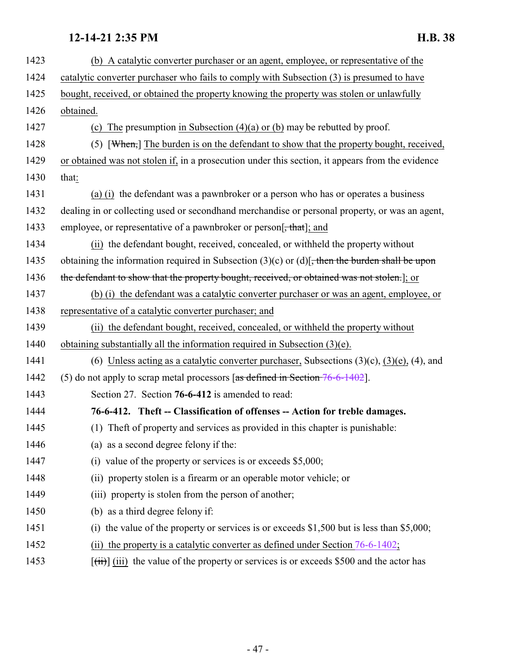<span id="page-46-0"></span>

| 1423 | (b) A catalytic converter purchaser or an agent, employee, or representative of the                           |
|------|---------------------------------------------------------------------------------------------------------------|
| 1424 | catalytic converter purchaser who fails to comply with Subsection (3) is presumed to have                     |
| 1425 | bought, received, or obtained the property knowing the property was stolen or unlawfully                      |
| 1426 | obtained.                                                                                                     |
| 1427 | (c) The presumption in Subsection $(4)(a)$ or $(b)$ may be rebutted by proof.                                 |
| 1428 | $(5)$ [When,] The burden is on the defendant to show that the property bought, received,                      |
| 1429 | or obtained was not stolen if, in a prosecution under this section, it appears from the evidence              |
| 1430 | that:                                                                                                         |
| 1431 | (a) (i) the defendant was a pawnbroker or a person who has or operates a business                             |
| 1432 | dealing in or collecting used or second hand merchandise or personal property, or was an agent,               |
| 1433 | employee, or representative of a pawnbroker or person[, that]; and                                            |
| 1434 | (ii) the defendant bought, received, concealed, or withheld the property without                              |
| 1435 | obtaining the information required in Subsection $(3)(c)$ or $(d)$ . then the burden shall be upon            |
| 1436 | the defendant to show that the property bought, received, or obtained was not stolen.]; or                    |
| 1437 | (b) (i) the defendant was a catalytic converter purchaser or was an agent, employee, or                       |
| 1438 | representative of a catalytic converter purchaser; and                                                        |
| 1439 | (ii) the defendant bought, received, concealed, or withheld the property without                              |
| 1440 | obtaining substantially all the information required in Subsection $(3)(e)$ .                                 |
| 1441 | (6) Unless acting as a catalytic converter purchaser, Subsections $(3)(c)$ , $(3)(e)$ , $(4)$ , and           |
| 1442 | (5) do not apply to scrap metal processors $\lceil \text{as defined in Section } 76-6-1402 \rceil$ .          |
| 1443 | Section 27. Section 76-6-412 is amended to read:                                                              |
| 1444 | 76-6-412. Theft -- Classification of offenses -- Action for treble damages.                                   |
| 1445 | (1) The ft of property and services as provided in this chapter is punishable:                                |
| 1446 | (a) as a second degree felony if the:                                                                         |
| 1447 | (i) value of the property or services is or exceeds $$5,000;$                                                 |
| 1448 | (ii) property stolen is a firearm or an operable motor vehicle; or                                            |
| 1449 | (iii) property is stolen from the person of another;                                                          |
| 1450 | (b) as a third degree felony if:                                                                              |
| 1451 | the value of the property or services is or exceeds $$1,500$ but is less than $$5,000$ ;<br>$\left( i\right)$ |
| 1452 | the property is a catalytic converter as defined under Section 76-6-1402;<br>(i)                              |
| 1453 | $[\overrightarrow{tii}]$ (iii) the value of the property or services is or exceeds \$500 and the actor has    |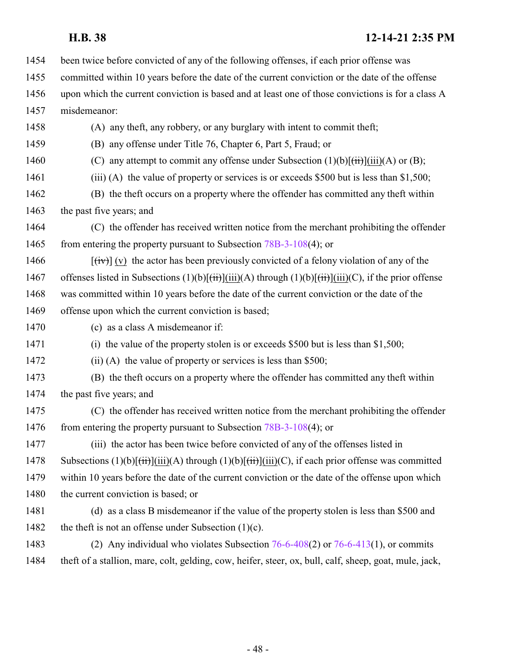- been twice before convicted of any of the following offenses, if each prior offense was
- committed within 10 years before the date of the current conviction or the date of the offense
- upon which the current conviction is based and at least one of those convictions is for a class A

misdemeanor:

(A) any theft, any robbery, or any burglary with intent to commit theft;

(B) any offense under Title 76, Chapter 6, Part 5, Fraud; or

- 1460 (C) any attempt to commit any offense under Subsection  $(1)(b)[\overrightarrow{(ii)}](\overrightarrow{ii})(A)$  or  $(B)$ ;
- 1461 (iii) (A) the value of property or services is or exceeds \$500 but is less than \$1,500;
- (B) the theft occurs on a property where the offender has committed any theft within 1463 the past five years; and
- (C) the offender has received written notice from the merchant prohibiting the offender 1465 from entering the property pursuant to Subsection [78B-3-108](#page-49-0)(4); or
- 1466  $\left[\frac{f(v)}{v}\right]$  (v) the actor has been previously convicted of a felony violation of any of the 1467 offenses listed in Subsections  $(1)(b)[\overrightarrow{tii}][\overrightarrow{iii})(A)$  through  $(1)(b)[\overrightarrow{tii}][\overrightarrow{iii})(C)$ , if the prior offense was committed within 10 years before the date of the current conviction or the date of the offense upon which the current conviction is based;
- (c) as a class A misdemeanor if:
- (i) the value of the property stolen is or exceeds \$500 but is less than \$1,500;
- 1472 (ii) (A) the value of property or services is less than \$500;
- (B) the theft occurs on a property where the offender has committed any theft within the past five years; and
- (C) the offender has received written notice from the merchant prohibiting the offender 1476 from entering the property pursuant to Subsection [78B-3-108](#page-49-0)(4); or
- (iii) the actor has been twice before convicted of any of the offenses listed in 1478 Subsections  $(1)(b)[(\overrightarrow{ii})](\overrightarrow{ii})(A)$  through  $(1)(b)[(\overrightarrow{ii})](\overrightarrow{ii})(C)$ , if each prior offense was committed within 10 years before the date of the current conviction or the date of the offense upon which 1480 the current conviction is based; or
- (d) as a class B misdemeanor if the value of the property stolen is less than \$500 and
- 1482 the theft is not an offense under Subsection  $(1)(c)$ .
- (2) Any individual who violates Subsection [76-6-408](#page-44-0)(2) or [76-6-413](http://le.utah.gov/UtahCode/SectionLookup.jsp?section=76-6-413&session=2022GS)(1), or commits theft of a stallion, mare, colt, gelding, cow, heifer, steer, ox, bull, calf, sheep, goat, mule, jack,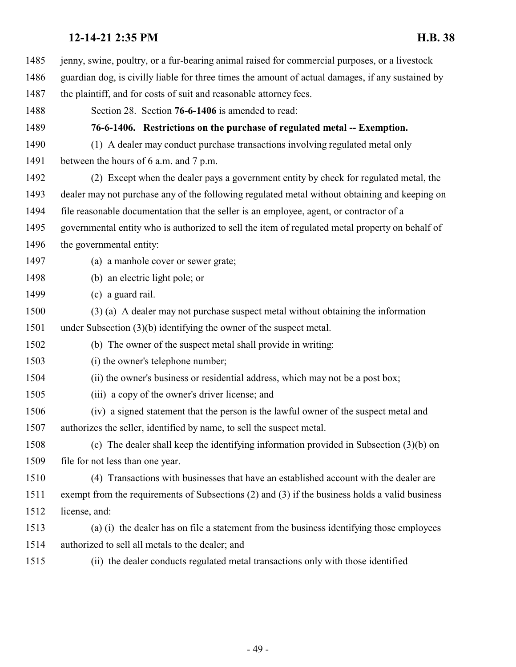<span id="page-48-0"></span> jenny, swine, poultry, or a fur-bearing animal raised for commercial purposes, or a livestock guardian dog, is civilly liable for three times the amount of actual damages, if any sustained by 1487 the plaintiff, and for costs of suit and reasonable attorney fees. Section 28. Section **76-6-1406** is amended to read: **76-6-1406. Restrictions on the purchase of regulated metal -- Exemption.** (1) A dealer may conduct purchase transactions involving regulated metal only between the hours of 6 a.m. and 7 p.m. (2) Except when the dealer pays a government entity by check for regulated metal, the dealer may not purchase any of the following regulated metal without obtaining and keeping on file reasonable documentation that the seller is an employee, agent, or contractor of a governmental entity who is authorized to sell the item of regulated metal property on behalf of 1496 the governmental entity: (a) a manhole cover or sewer grate; (b) an electric light pole; or (c) a guard rail. (3) (a) A dealer may not purchase suspect metal without obtaining the information under Subsection (3)(b) identifying the owner of the suspect metal. (b) The owner of the suspect metal shall provide in writing: (i) the owner's telephone number; (ii) the owner's business or residential address, which may not be a post box; (iii) a copy of the owner's driver license; and (iv) a signed statement that the person is the lawful owner of the suspect metal and authorizes the seller, identified by name, to sell the suspect metal. (c) The dealer shall keep the identifying information provided in Subsection (3)(b) on file for not less than one year. (4) Transactions with businesses that have an established account with the dealer are exempt from the requirements of Subsections (2) and (3) if the business holds a valid business license, and: (a) (i) the dealer has on file a statement from the business identifying those employees authorized to sell all metals to the dealer; and (ii) the dealer conducts regulated metal transactions only with those identified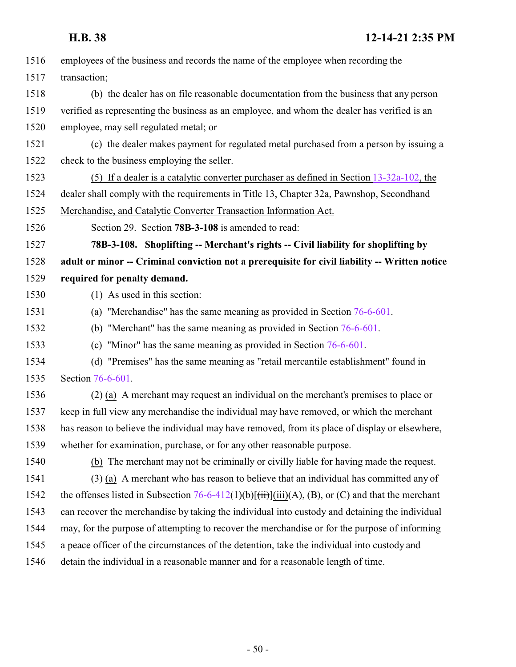<span id="page-49-0"></span>

| 1516 | employees of the business and records the name of the employee when recording the                                 |
|------|-------------------------------------------------------------------------------------------------------------------|
| 1517 | transaction;                                                                                                      |
| 1518 | (b) the dealer has on file reasonable documentation from the business that any person                             |
| 1519 | verified as representing the business as an employee, and whom the dealer has verified is an                      |
| 1520 | employee, may sell regulated metal; or                                                                            |
| 1521 | (c) the dealer makes payment for regulated metal purchased from a person by issuing a                             |
| 1522 | check to the business employing the seller.                                                                       |
| 1523 | (5) If a dealer is a catalytic converter purchaser as defined in Section $13-32a-102$ , the                       |
| 1524 | dealer shall comply with the requirements in Title 13, Chapter 32a, Pawnshop, Secondhand                          |
| 1525 | Merchandise, and Catalytic Converter Transaction Information Act.                                                 |
| 1526 | Section 29. Section 78B-3-108 is amended to read:                                                                 |
| 1527 | 78B-3-108. Shoplifting -- Merchant's rights -- Civil liability for shoplifting by                                 |
| 1528 | adult or minor -- Criminal conviction not a prerequisite for civil liability -- Written notice                    |
| 1529 | required for penalty demand.                                                                                      |
| 1530 | (1) As used in this section:                                                                                      |
| 1531 | (a) "Merchandise" has the same meaning as provided in Section $76-6-601$ .                                        |
| 1532 | (b) "Merchant" has the same meaning as provided in Section $76-6-601$ .                                           |
| 1533 | (c) "Minor" has the same meaning as provided in Section $76-6-601$ .                                              |
| 1534 | (d) "Premises" has the same meaning as "retail mercantile establishment" found in                                 |
| 1535 | Section 76-6-601.                                                                                                 |
| 1536 | (2) (a) A merchant may request an individual on the merchant's premises to place or                               |
| 1537 | keep in full view any merchandise the individual may have removed, or which the merchant                          |
| 1538 | has reason to believe the individual may have removed, from its place of display or elsewhere,                    |
| 1539 | whether for examination, purchase, or for any other reasonable purpose.                                           |
| 1540 | (b) The merchant may not be criminally or civilly liable for having made the request.                             |
| 1541 | (3) (a) A merchant who has reason to believe that an individual has committed any of                              |
| 1542 | the offenses listed in Subsection 76-6-412(1)(b) $\overrightarrow{f}$ (iii)(A), (B), or (C) and that the merchant |
| 1543 | can recover the merchandise by taking the individual into custody and detaining the individual                    |
| 1544 | may, for the purpose of attempting to recover the merchandise or for the purpose of informing                     |
| 1545 | a peace officer of the circumstances of the detention, take the individual into custody and                       |
| 1546 | detain the individual in a reasonable manner and for a reasonable length of time.                                 |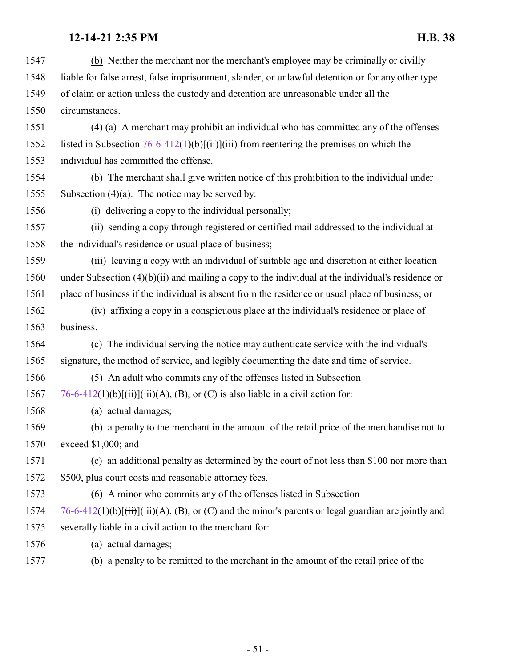| 1547 | (b) Neither the merchant nor the merchant's employee may be criminally or civilly                                |
|------|------------------------------------------------------------------------------------------------------------------|
| 1548 | liable for false arrest, false imprisonment, slander, or unlawful detention or for any other type                |
| 1549 | of claim or action unless the custody and detention are unreasonable under all the                               |
| 1550 | circumstances.                                                                                                   |
| 1551 | (4) (a) A merchant may prohibit an individual who has committed any of the offenses                              |
| 1552 | listed in Subsection $76-6-412(1)(b)[(iii)]$ from reentering the premises on which the                           |
| 1553 | individual has committed the offense.                                                                            |
| 1554 | (b) The merchant shall give written notice of this prohibition to the individual under                           |
| 1555 | Subsection $(4)(a)$ . The notice may be served by:                                                               |
| 1556 | (i) delivering a copy to the individual personally;                                                              |
| 1557 | (ii) sending a copy through registered or certified mail addressed to the individual at                          |
| 1558 | the individual's residence or usual place of business;                                                           |
| 1559 | (iii) leaving a copy with an individual of suitable age and discretion at either location                        |
| 1560 | under Subsection $(4)(b)(ii)$ and mailing a copy to the individual at the individual's residence or              |
| 1561 | place of business if the individual is absent from the residence or usual place of business; or                  |
| 1562 | (iv) affixing a copy in a conspicuous place at the individual's residence or place of                            |
| 1563 | business.                                                                                                        |
| 1564 | (c) The individual serving the notice may authenticate service with the individual's                             |
| 1565 | signature, the method of service, and legibly documenting the date and time of service.                          |
| 1566 | (5) An adult who commits any of the offenses listed in Subsection                                                |
| 1567 | 76-6-412(1)(b)[ $\frac{1}{1}$ ](iii)(A), (B), or (C) is also liable in a civil action for:                       |
| 1568 | (a) actual damages;                                                                                              |
| 1569 | (b) a penalty to the merchant in the amount of the retail price of the merchandise not to                        |
| 1570 | exceed \$1,000; and                                                                                              |
| 1571 | (c) an additional penalty as determined by the court of not less than \$100 nor more than                        |
| 1572 | \$500, plus court costs and reasonable attorney fees.                                                            |
| 1573 | (6) A minor who commits any of the offenses listed in Subsection                                                 |
| 1574 | 76-6-412(1)(b) $\overline{f(t)}$ (iii)(A), (B), or (C) and the minor's parents or legal guardian are jointly and |
| 1575 | severally liable in a civil action to the merchant for:                                                          |
| 1576 | (a) actual damages;                                                                                              |
| 1577 | (b) a penalty to be remitted to the merchant in the amount of the retail price of the                            |